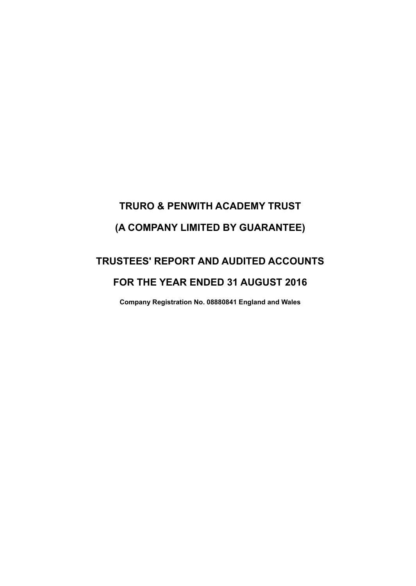# **TRURO & PENWITH ACADEMY TRUST (A COMPANY LIMITED BY GUARANTEE)**

## **TRUSTEES' REPORT AND AUDITED ACCOUNTS FOR THE YEAR ENDED 31 AUGUST 2016**

**Company Registration No. 08880841 England and Wales**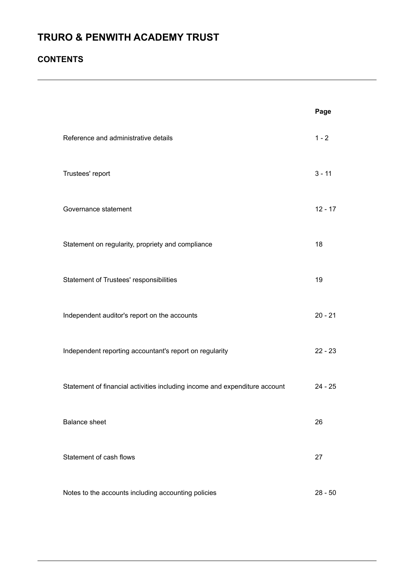### **CONTENTS**

|                                                                            | Page      |
|----------------------------------------------------------------------------|-----------|
| Reference and administrative details                                       | $1 - 2$   |
| Trustees' report                                                           | $3 - 11$  |
| Governance statement                                                       | $12 - 17$ |
| Statement on regularity, propriety and compliance                          | 18        |
| Statement of Trustees' responsibilities                                    | 19        |
| Independent auditor's report on the accounts                               | $20 - 21$ |
| Independent reporting accountant's report on regularity                    | $22 - 23$ |
| Statement of financial activities including income and expenditure account | $24 - 25$ |
| <b>Balance sheet</b>                                                       | 26        |
| Statement of cash flows                                                    | 27        |
| Notes to the accounts including accounting policies                        | $28 - 50$ |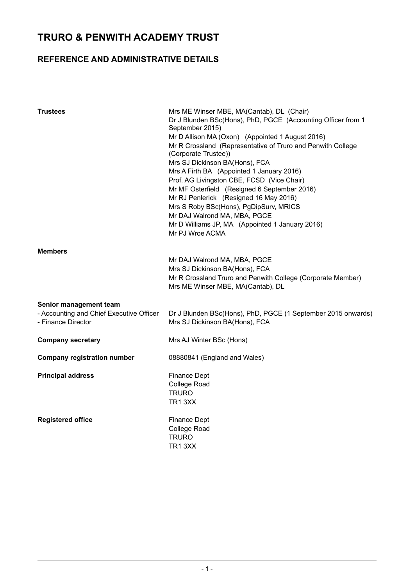### **REFERENCE AND ADMINISTRATIVE DETAILS**

| <b>Trustees</b>                                                                          | Mrs ME Winser MBE, MA(Cantab), DL (Chair)<br>Dr J Blunden BSc(Hons), PhD, PGCE (Accounting Officer from 1<br>September 2015)<br>Mr D Allison MA (Oxon) (Appointed 1 August 2016)<br>Mr R Crossland (Representative of Truro and Penwith College<br>(Corporate Trustee))<br>Mrs SJ Dickinson BA(Hons), FCA<br>Mrs A Firth BA (Appointed 1 January 2016)<br>Prof. AG Livingston CBE, FCSD (Vice Chair)<br>Mr MF Osterfield (Resigned 6 September 2016)<br>Mr RJ Penlerick (Resigned 16 May 2016)<br>Mrs S Roby BSc(Hons), PgDipSurv, MRICS<br>Mr DAJ Walrond MA, MBA, PGCE<br>Mr D Williams JP, MA (Appointed 1 January 2016)<br>Mr PJ Wroe ACMA |
|------------------------------------------------------------------------------------------|------------------------------------------------------------------------------------------------------------------------------------------------------------------------------------------------------------------------------------------------------------------------------------------------------------------------------------------------------------------------------------------------------------------------------------------------------------------------------------------------------------------------------------------------------------------------------------------------------------------------------------------------|
| <b>Members</b>                                                                           | Mr DAJ Walrond MA, MBA, PGCE<br>Mrs SJ Dickinson BA(Hons), FCA<br>Mr R Crossland Truro and Penwith College (Corporate Member)<br>Mrs ME Winser MBE, MA(Cantab), DL                                                                                                                                                                                                                                                                                                                                                                                                                                                                             |
| Senior management team<br>- Accounting and Chief Executive Officer<br>- Finance Director | Dr J Blunden BSc(Hons), PhD, PGCE (1 September 2015 onwards)<br>Mrs SJ Dickinson BA(Hons), FCA                                                                                                                                                                                                                                                                                                                                                                                                                                                                                                                                                 |
| <b>Company secretary</b>                                                                 | Mrs AJ Winter BSc (Hons)                                                                                                                                                                                                                                                                                                                                                                                                                                                                                                                                                                                                                       |
| <b>Company registration number</b>                                                       | 08880841 (England and Wales)                                                                                                                                                                                                                                                                                                                                                                                                                                                                                                                                                                                                                   |
| <b>Principal address</b>                                                                 | <b>Finance Dept</b><br><b>College Road</b><br><b>TRURO</b><br>TR13XX                                                                                                                                                                                                                                                                                                                                                                                                                                                                                                                                                                           |
| <b>Registered office</b>                                                                 | <b>Finance Dept</b><br><b>College Road</b><br>TRURO<br>TR13XX                                                                                                                                                                                                                                                                                                                                                                                                                                                                                                                                                                                  |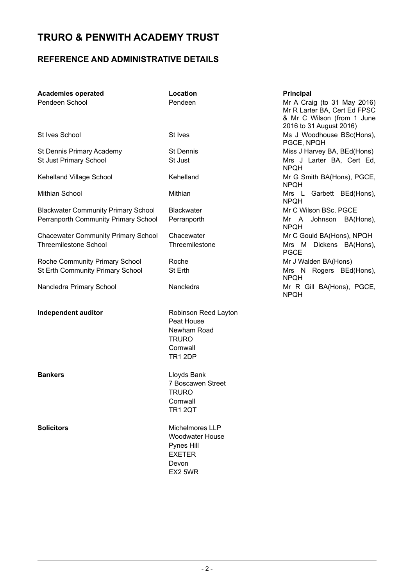### **REFERENCE AND ADMINISTRATIVE DETAILS**

| <b>Academies operated</b><br>Pendeen School | Location<br>Pendeen                                                                             | Principal<br>Mr A Craig (to 31 May 2016)<br>Mr R Larter BA, Cert Ed FPSC<br>& Mr C Wilson (from 1 June<br>2016 to 31 August 2016) |
|---------------------------------------------|-------------------------------------------------------------------------------------------------|-----------------------------------------------------------------------------------------------------------------------------------|
| <b>St Ives School</b>                       | St Ives                                                                                         | Ms J Woodhouse BSc(Hons),<br>PGCE, NPQH                                                                                           |
| St Dennis Primary Academy                   | <b>St Dennis</b>                                                                                | Miss J Harvey BA, BEd(Hons)                                                                                                       |
| <b>St Just Primary School</b>               | St Just                                                                                         | Mrs J Larter BA, Cert Ed,<br><b>NPQH</b>                                                                                          |
| Kehelland Village School                    | Kehelland                                                                                       | Mr G Smith BA(Hons), PGCE,<br><b>NPQH</b>                                                                                         |
| Mithian School                              | Mithian                                                                                         | Mrs L Garbett BEd(Hons),<br><b>NPQH</b>                                                                                           |
| <b>Blackwater Community Primary School</b>  | <b>Blackwater</b>                                                                               | Mr C Wilson BSc, PGCE                                                                                                             |
| Perranporth Community Primary School        | Perranporth                                                                                     | Mr A Johnson BA(Hons),<br><b>NPQH</b>                                                                                             |
| <b>Chacewater Community Primary School</b>  | Chacewater                                                                                      | Mr C Gould BA(Hons), NPQH                                                                                                         |
| <b>Threemilestone School</b>                | Threemilestone                                                                                  | Mrs M Dickens BA(Hons),<br><b>PGCE</b>                                                                                            |
| Roche Community Primary School              | Roche                                                                                           | Mr J Walden BA(Hons)                                                                                                              |
| St Erth Community Primary School            | St Erth                                                                                         | Mrs N Rogers BEd(Hons),<br><b>NPOH</b>                                                                                            |
| Nancledra Primary School                    | Nancledra                                                                                       | Mr R Gill BA(Hons), PGCE,<br><b>NPQH</b>                                                                                          |
| Independent auditor                         | Robinson Reed Layton<br>Peat House<br>Newham Road<br><b>TRURO</b><br>Cornwall<br><b>TR1 2DP</b> |                                                                                                                                   |
| <b>Bankers</b>                              | Lloyds Bank<br>7 Boscawen Street<br><b>TRURO</b><br>Cornwall<br><b>TR1 2QT</b>                  |                                                                                                                                   |
| <b>Solicitors</b>                           | Michelmores LLP<br><b>Woodwater House</b><br>Pynes Hill<br><b>EXETER</b><br>Devon<br>EX2 5WR    |                                                                                                                                   |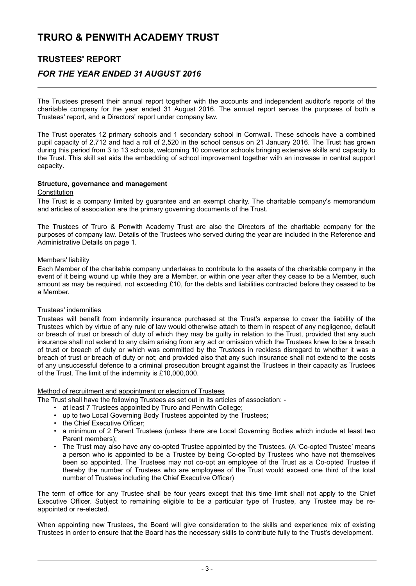### **TRUSTEES' REPORT**

### *FOR THE YEAR ENDED 31 AUGUST 2016*

The Trustees present their annual report together with the accounts and independent auditor's reports of the charitable company for the year ended 31 August 2016. The annual report serves the purposes of both a Trustees' report, and a Directors' report under company law.

The Trust operates 12 primary schools and 1 secondary school in Cornwall. These schools have a combined pupil capacity of 2,712 and had a roll of 2,520 in the school census on 21 January 2016. The Trust has grown during this period from 3 to 13 schools, welcoming 10 convertor schools bringing extensive skills and capacity to the Trust. This skill set aids the embedding of school improvement together with an increase in central support capacity.

#### **Structure, governance and management**

#### **Constitution**

The Trust is a company limited by guarantee and an exempt charity. The charitable company's memorandum and articles of association are the primary governing documents of the Trust.

The Trustees of Truro & Penwith Academy Trust are also the Directors of the charitable company for the purposes of company law. Details of the Trustees who served during the year are included in the Reference and Administrative Details on page 1.

#### Members' liability

Each Member of the charitable company undertakes to contribute to the assets of the charitable company in the event of it being wound up while they are a Member, or within one year after they cease to be a Member, such amount as may be required, not exceeding £10, for the debts and liabilities contracted before they ceased to be a Member.

#### Trustees' indemnities

Trustees will benefit from indemnity insurance purchased at the Trust's expense to cover the liability of the Trustees which by virtue of any rule of law would otherwise attach to them in respect of any negligence, default or breach of trust or breach of duty of which they may be guilty in relation to the Trust, provided that any such insurance shall not extend to any claim arising from any act or omission which the Trustees knew to be a breach of trust or breach of duty or which was committed by the Trustees in reckless disregard to whether it was a breach of trust or breach of duty or not; and provided also that any such insurance shall not extend to the costs of any unsuccessful defence to a criminal prosecution brought against the Trustees in their capacity as Trustees of the Trust. The limit of the indemnity is £10,000,000.

#### Method of recruitment and appointment or election of Trustees

The Trust shall have the following Trustees as set out in its articles of association: -

- at least 7 Trustees appointed by Truro and Penwith College;
- up to two Local Governing Body Trustees appointed by the Trustees;
- the Chief Executive Officer:
- a minimum of 2 Parent Trustees (unless there are Local Governing Bodies which include at least two Parent members);
- The Trust may also have any co-opted Trustee appointed by the Trustees. (A 'Co-opted Trustee' means a person who is appointed to be a Trustee by being Co-opted by Trustees who have not themselves been so appointed. The Trustees may not co-opt an employee of the Trust as a Co-opted Trustee if thereby the number of Trustees who are employees of the Trust would exceed one third of the total number of Trustees including the Chief Executive Officer)

The term of office for any Trustee shall be four years except that this time limit shall not apply to the Chief Executive Officer. Subject to remaining eligible to be a particular type of Trustee, any Trustee may be reappointed or re-elected.

When appointing new Trustees, the Board will give consideration to the skills and experience mix of existing Trustees in order to ensure that the Board has the necessary skills to contribute fully to the Trust's development.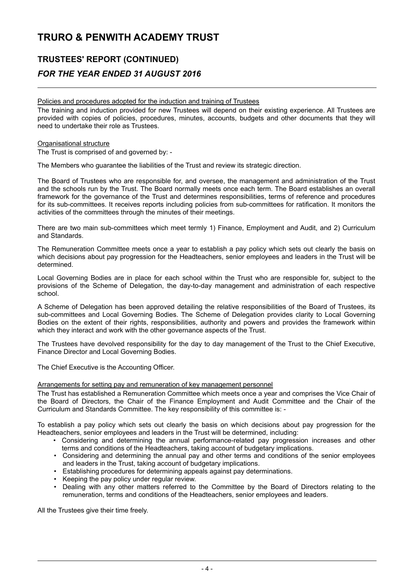### **TRUSTEES' REPORT (CONTINUED)** *FOR THE YEAR ENDED 31 AUGUST 2016*

#### Policies and procedures adopted for the induction and training of Trustees

The training and induction provided for new Trustees will depend on their existing experience. All Trustees are provided with copies of policies, procedures, minutes, accounts, budgets and other documents that they will need to undertake their role as Trustees.

#### Organisational structure

The Trust is comprised of and governed by: -

The Members who guarantee the liabilities of the Trust and review its strategic direction.

The Board of Trustees who are responsible for, and oversee, the management and administration of the Trust and the schools run by the Trust. The Board normally meets once each term. The Board establishes an overall framework for the governance of the Trust and determines responsibilities, terms of reference and procedures for its sub-committees. It receives reports including policies from sub-committees for ratification. It monitors the activities of the committees through the minutes of their meetings.

There are two main sub-committees which meet termly 1) Finance, Employment and Audit, and 2) Curriculum and Standards.

The Remuneration Committee meets once a year to establish a pay policy which sets out clearly the basis on which decisions about pay progression for the Headteachers, senior employees and leaders in the Trust will be determined.

Local Governing Bodies are in place for each school within the Trust who are responsible for, subject to the provisions of the Scheme of Delegation, the day-to-day management and administration of each respective school.

A Scheme of Delegation has been approved detailing the relative responsibilities of the Board of Trustees, its sub-committees and Local Governing Bodies. The Scheme of Delegation provides clarity to Local Governing Bodies on the extent of their rights, responsibilities, authority and powers and provides the framework within which they interact and work with the other governance aspects of the Trust.

The Trustees have devolved responsibility for the day to day management of the Trust to the Chief Executive, Finance Director and Local Governing Bodies.

The Chief Executive is the Accounting Officer.

#### Arrangements for setting pay and remuneration of key management personnel

The Trust has established a Remuneration Committee which meets once a year and comprises the Vice Chair of the Board of Directors, the Chair of the Finance Employment and Audit Committee and the Chair of the Curriculum and Standards Committee. The key responsibility of this committee is: -

To establish a pay policy which sets out clearly the basis on which decisions about pay progression for the Headteachers, senior employees and leaders in the Trust will be determined, including:

- Considering and determining the annual performance-related pay progression increases and other terms and conditions of the Headteachers, taking account of budgetary implications.
- Considering and determining the annual pay and other terms and conditions of the senior employees and leaders in the Trust, taking account of budgetary implications.
- Establishing procedures for determining appeals against pay determinations.
- Keeping the pay policy under regular review.
- Dealing with any other matters referred to the Committee by the Board of Directors relating to the remuneration, terms and conditions of the Headteachers, senior employees and leaders.

All the Trustees give their time freely.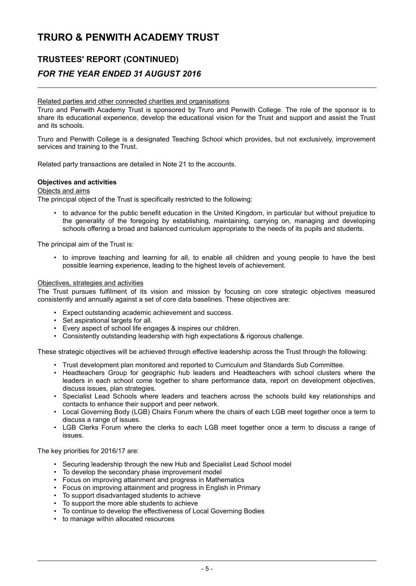### **TRUSTEES' REPORT (CONTINUED)**

### *FOR THE YEAR ENDED 31 AUGUST 2016*

#### Related parties and other connected charities and organisations

Truro and Penwith Academy Trust is sponsored by Truro and Penwith College. The role of the sponsor is to share its educational experience, develop the educational vision for the Trust and support and assist the Trust and its schools.

Truro and Penwith College is a designated Teaching School which provides, but not exclusively, improvement services and training to the Trust.

Related party transactions are detailed in Note 21 to the accounts.

#### **Objectives and activities**

#### Objects and aims

The principal object of the Trust is specifically restricted to the following:

• to advance for the public benefit education in the United Kingdom, in particular but without prejudice to the generality of the foregoing by establishing, maintaining, carrying on, managing and developing schools offering a broad and balanced curriculum appropriate to the needs of its pupils and students.

The principal aim of the Trust is:

• to improve teaching and learning for all, to enable all children and young people to have the best possible learning experience, leading to the highest levels of achievement.

#### Objectives, strategies and activities

The Trust pursues fulfilment of its vision and mission by focusing on core strategic objectives measured consistently and annually against a set of core data baselines. These objectives are:

- Expect outstanding academic achievement and success.
- Set aspirational targets for all.
- Every aspect of school life engages & inspires our children.
- Consistently outstanding leadership with high expectations & rigorous challenge.

These strategic objectives will be achieved through effective leadership across the Trust through the following:

- Trust development plan monitored and reported to Curriculum and Standards Sub Committee.
- Headteachers Group for geographic hub leaders and Headteachers with school clusters where the leaders in each school come together to share performance data, report on development objectives, discuss issues, plan strategies.
- Specialist Lead Schools where leaders and teachers across the schools build key relationships and contacts to enhance their support and peer network.
- Local Governing Body (LGB) Chairs Forum where the chairs of each LGB meet together once a term to discuss a range of issues.
- LGB Clerks Forum where the clerks to each LGB meet together once a term to discuss a range of issues.

The key priorities for 2016/17 are:

- Securing leadership through the new Hub and Specialist Lead School model
- To develop the secondary phase improvement model
- Focus on improving attainment and progress in Mathematics
- Focus on improving attainment and progress in English in Primary
- To support disadvantaged students to achieve
- To support the more able students to achieve
- To continue to develop the effectiveness of Local Governing Bodies
- to manage within allocated resources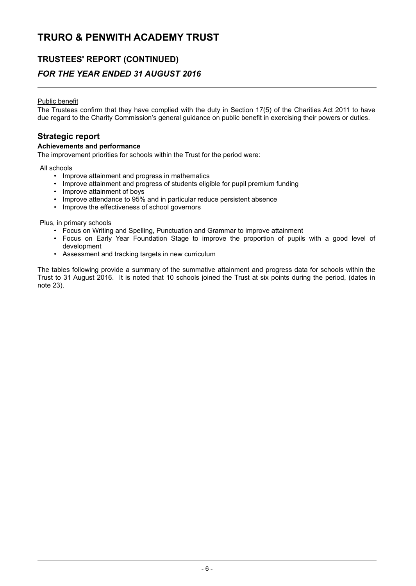### **TRUSTEES' REPORT (CONTINUED)**

### *FOR THE YEAR ENDED 31 AUGUST 2016*

#### Public benefit

The Trustees confirm that they have complied with the duty in Section 17(5) of the Charities Act 2011 to have due regard to the Charity Commission's general guidance on public benefit in exercising their powers or duties.

### **Strategic report**

#### **Achievements and performance**

The improvement priorities for schools within the Trust for the period were:

All schools

- Improve attainment and progress in mathematics
- Improve attainment and progress of students eligible for pupil premium funding
- Improve attainment of boys
- Improve attendance to 95% and in particular reduce persistent absence<br>• Improve the effectiveness of school governors
- Improve the effectiveness of school governors

Plus, in primary schools

- Focus on Writing and Spelling, Punctuation and Grammar to improve attainment
- Focus on Early Year Foundation Stage to improve the proportion of pupils with a good level of development
- Assessment and tracking targets in new curriculum

The tables following provide a summary of the summative attainment and progress data for schools within the Trust to 31 August 2016. It is noted that 10 schools joined the Trust at six points during the period, (dates in note 23).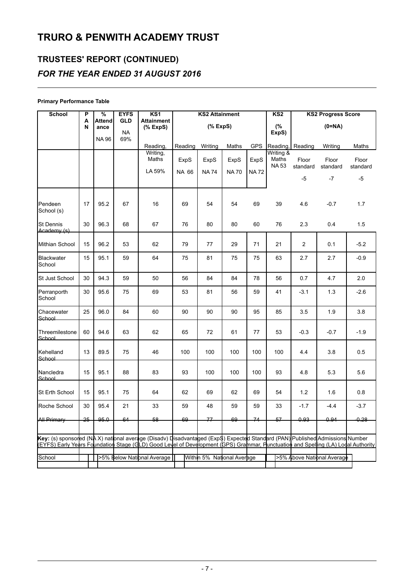## **TRUSTEES' REPORT (CONTINUED)** *FOR THE YEAR ENDED 31 AUGUST 2016*

#### **Primary Performance Table**

| School                                                                                                                                                                                                                                                            | P      | %                     | <b>EYFS</b>             | KS1                           | <b>KS2 Attainment</b> |                            | KS <sub>2</sub> | <b>KS2 Progress Score</b> |                                   |                   |                            |                   |
|-------------------------------------------------------------------------------------------------------------------------------------------------------------------------------------------------------------------------------------------------------------------|--------|-----------------------|-------------------------|-------------------------------|-----------------------|----------------------------|-----------------|---------------------------|-----------------------------------|-------------------|----------------------------|-------------------|
|                                                                                                                                                                                                                                                                   | A<br>N | <b>Attend</b><br>ance | <b>GLD</b><br><b>NA</b> | <b>Attainment</b><br>(% ExpS) |                       | $(%$ (% ExpS)              |                 |                           | (%<br>ExpS)                       |                   | $(0=NA)$                   |                   |
|                                                                                                                                                                                                                                                                   |        | <b>NA96</b>           | 69%                     |                               |                       |                            |                 |                           |                                   |                   |                            |                   |
|                                                                                                                                                                                                                                                                   |        |                       |                         | Reading,                      | Reading               | Writing                    | Maths           | <b>GPS</b>                | Reading,                          | Reading           | Writing                    | Maths             |
|                                                                                                                                                                                                                                                                   |        |                       |                         | Writing,<br>Maths             | ExpS                  | ExpS                       | ExpS            | ExpS                      | Writing &<br>Maths<br><b>NA53</b> | Floor<br>standard | Floor<br>standard          | Floor<br>standard |
|                                                                                                                                                                                                                                                                   |        |                       |                         | LA 59%                        | NA 66                 | <b>NA74</b>                | <b>NA70</b>     | <b>NA72</b>               |                                   | $-5$              | $-7$                       | -5                |
| Pendeen<br>School (s)                                                                                                                                                                                                                                             | 17     | 95.2                  | 67                      | 16                            | 69                    | 54                         | 54              | 69                        | 39                                | 4.6               | $-0.7$                     | 1.7               |
| lSt Dennis<br>Academy (s)                                                                                                                                                                                                                                         | 30     | 96.3                  | 68                      | 67                            | 76                    | 80                         | 80              | 60                        | 76                                | 2.3               | 0.4                        | 1.5               |
| Mithian School                                                                                                                                                                                                                                                    | 15     | 96.2                  | 53                      | 62                            | 79                    | 77                         | 29              | 71                        | 21                                | $\overline{2}$    | 0.1                        | $-5.2$            |
| Blackwater<br>School                                                                                                                                                                                                                                              | 15     | 95.1                  | 59                      | 64                            | 75                    | 81                         | 75              | 75                        | 63                                | 2.7               | 2.7                        | $-0.9$            |
| St Just School                                                                                                                                                                                                                                                    | 30     | 94.3                  | 59                      | 50                            | 56                    | 84                         | 84              | 78                        | 56                                | 0.7               | 4.7                        | 2.0               |
| Perranporth<br>School                                                                                                                                                                                                                                             | 30     | 95.6                  | 75                      | 69                            | 53                    | 81                         | 56              | 59                        | 41                                | $-3.1$            | 1.3                        | $-2.6$            |
| Chacewater<br>School                                                                                                                                                                                                                                              | 25     | 96.0                  | 84                      | 60                            | 90                    | 90                         | 90              | 95                        | 85                                | 3.5               | 1.9                        | 3.8               |
| Threemilestone<br>School                                                                                                                                                                                                                                          | 60     | 94.6                  | 63                      | 62                            | 65                    | 72                         | 61              | 77                        | 53                                | $-0.3$            | $-0.7$                     | $-1.9$            |
| Kehelland<br>School                                                                                                                                                                                                                                               | 13     | 89.5                  | 75                      | 46                            | 100                   | 100                        | 100             | 100                       | 100                               | 4.4               | 3.8                        | 0.5               |
| Nancledra<br>School                                                                                                                                                                                                                                               | 15     | 95.1                  | 88                      | 83                            | 93                    | 100                        | 100             | 100                       | 93                                | 4.8               | 5.3                        | 5.6               |
| St Erth School                                                                                                                                                                                                                                                    | 15     | 95.1                  | 75                      | 64                            | 62                    | 69                         | 62              | 69                        | 54                                | $1.2$             | 1.6                        | 0.8               |
| Roche School                                                                                                                                                                                                                                                      | 30     | 95.4                  | 21                      | 33                            | 59                    | 48                         | 59              | 59                        | 33                                | $-1.7$            | $-4.4$                     | $-3.7$            |
| <b>All Primary</b>                                                                                                                                                                                                                                                | 25     | 95.0                  | 64                      | <del>58</del>                 | 69                    | 77                         | 69              | 74                        | 57                                | 0.93              | هونه                       | هجم               |
| Key: (s) sponsored (NA X) national average (Disadv) Disadvantaged (Exp\$) Expected Standard (PAN) Published Admissions Number<br>(EYFS) Early Years Foundation Stage (GLD) Good Level of Development (SPS) Grammar, Punctuation and Spelling (LA) Lodal Authority |        |                       |                         |                               |                       |                            |                 |                           |                                   |                   |                            |                   |
| School                                                                                                                                                                                                                                                            |        |                       |                         | >5% Below National Average    |                       | Within 5% National Average |                 |                           |                                   |                   | >5% Above National Average |                   |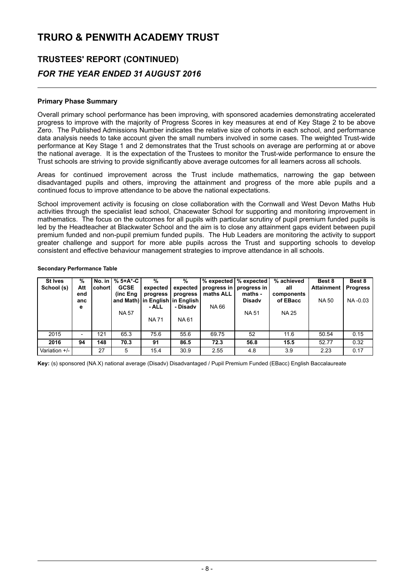## **TRUSTEES' REPORT (CONTINUED)** *FOR THE YEAR ENDED 31 AUGUST 2016*

#### **Primary Phase Summary**

Overall primary school performance has been improving, with sponsored academies demonstrating accelerated progress to improve with the majority of Progress Scores in key measures at end of Key Stage 2 to be above Zero. The Published Admissions Number indicates the relative size of cohorts in each school, and performance data analysis needs to take account given the small numbers involved in some cases. The weighted Trust-wide performance at Key Stage 1 and 2 demonstrates that the Trust schools on average are performing at or above the national average. It is the expectation of the Trustees to monitor the Trust-wide performance to ensure the Trust schools are striving to provide significantly above average outcomes for all learners across all schools.

Areas for continued improvement across the Trust include mathematics, narrowing the gap between disadvantaged pupils and others, improving the attainment and progress of the more able pupils and a continued focus to improve attendance to be above the national expectations.

School improvement activity is focusing on close collaboration with the Cornwall and West Devon Maths Hub activities through the specialist lead school, Chacewater School for supporting and monitoring improvement in mathematics. The focus on the outcomes for all pupils with particular scrutiny of pupil premium funded pupils is led by the Headteacher at Blackwater School and the aim is to close any attainment gaps evident between pupil premium funded and non-pupil premium funded pupils. The Hub Leaders are monitoring the activity to support greater challenge and support for more able pupils across the Trust and supporting schools to develop consistent and effective behaviour management strategies to improve attendance in all schools.

| <b>St Ives</b><br>School (s) | %<br>Att<br>end<br>anc<br>е | cohortl | No. in   % 5+A*-C<br><b>GCSE</b><br>(inc Eng<br><b>NA 57</b> | %<br>expected<br>progress<br>- ALL<br><b>NA71</b> | %<br>expected<br>progress<br>and Math) in English in English<br>- Disadv<br>NA 61 | maths ALL<br>NA 66 | $%$ expected $%$ expected<br>progress in progress in<br>maths -<br><b>Disady</b><br><b>NA51</b> | % achieved<br>all<br>components<br>of EBacc<br><b>NA 25</b> | Best 8<br><b>Attainment</b><br><b>NA 50</b> | Best 8<br><b>Progress</b><br>NA-0.03 |
|------------------------------|-----------------------------|---------|--------------------------------------------------------------|---------------------------------------------------|-----------------------------------------------------------------------------------|--------------------|-------------------------------------------------------------------------------------------------|-------------------------------------------------------------|---------------------------------------------|--------------------------------------|
| 2015                         |                             | 121     | 65.3                                                         | 75.6                                              | 55.6                                                                              | 69.75              | 52                                                                                              | 11.6                                                        | 50.54                                       | 0.15                                 |
| 2016                         | 94                          | 148     | 70.3                                                         | 91                                                | 86.5                                                                              | 72.3               | 56.8                                                                                            | 15.5                                                        | 52.77                                       | 0.32                                 |
| Variation +/-                |                             | 27      | 5.                                                           | 15.4                                              | 30.9                                                                              | 2.55               | 4.8                                                                                             | 3.9                                                         | 2.23                                        | 0.17                                 |

#### **Secondary Performance Table**

Key: (s) sponsored (NA X) national average (Disadv) Disadvantaged / Pupil Premium Funded (EBacc) English Baccalaureate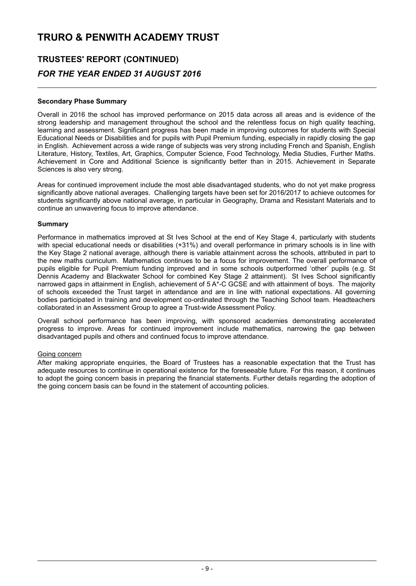## **TRUSTEES' REPORT (CONTINUED)** *FOR THE YEAR ENDED 31 AUGUST 2016*

#### **Secondary Phase Summary**

Overall in 2016 the school has improved performance on 2015 data across all areas and is evidence of the strong leadership and management throughout the school and the relentless focus on high quality teaching, learning and assessment. Significant progress has been made in improving outcomes for students with Special Educational Needs or Disabilities and for pupils with Pupil Premium funding, especially in rapidly closing the gap in English. Achievement across a wide range of subjects was very strong including French and Spanish, English Literature, History, Textiles, Art, Graphics, Computer Science, Food Technology, Media Studies, Further Maths. Achievement in Core and Additional Science is significantly better than in 2015. Achievement in Separate Sciences is also very strong.

Areas for continued improvement include the most able disadvantaged students, who do not yet make progress significantly above national averages. Challenging targets have been set for 2016/2017 to achieve outcomes for students significantly above national average, in particular in Geography, Drama and Resistant Materials and to continue an unwavering focus to improve attendance.

#### **Summary**

Performance in mathematics improved at St Ives School at the end of Key Stage 4, particularly with students with special educational needs or disabilities (+31%) and overall performance in primary schools is in line with the Key Stage 2 national average, although there is variable attainment across the schools, attributed in part to the new maths curriculum. Mathematics continues to be a focus for improvement. The overall performance of pupils eligible for Pupil Premium funding improved and in some schools outperformed 'other' pupils (e.g. St Dennis Academy and Blackwater School for combined Key Stage 2 attainment). St Ives School significantly narrowed gaps in attainment in English, achievement of 5 A\*-C GCSE and with attainment of boys. The majority of schools exceeded the Trust target in attendance and are in line with national expectations. All governing bodies participated in training and development co-ordinated through the Teaching School team. Headteachers collaborated in an Assessment Group to agree a Trust-wide Assessment Policy.

Overall school performance has been improving, with sponsored academies demonstrating accelerated progress to improve. Areas for continued improvement include mathematics, narrowing the gap between disadvantaged pupils and others and continued focus to improve attendance.

#### Going concern

After making appropriate enquiries, the Board of Trustees has a reasonable expectation that the Trust has adequate resources to continue in operational existence for the foreseeable future. For this reason, it continues to adopt the going concern basis in preparing the financial statements. Further details regarding the adoption of the going concern basis can be found in the statement of accounting policies.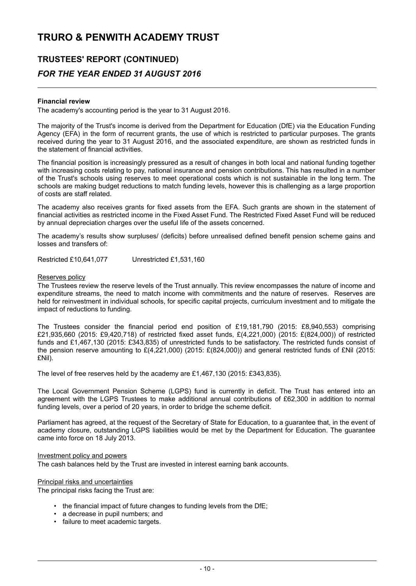## **TRUSTEES' REPORT (CONTINUED)** *FOR THE YEAR ENDED 31 AUGUST 2016*

#### **Financial review**

The academy's accounting period is the year to 31 August 2016.

The majority of the Trust's income is derived from the Department for Education (DfE) via the Education Funding Agency (EFA) in the form of recurrent grants, the use of which is restricted to particular purposes. The grants received during the year to 31 August 2016, and the associated expenditure, are shown as restricted funds in the statement of financial activities.

The financial position is increasingly pressured as a result of changes in both local and national funding together with increasing costs relating to pay, national insurance and pension contributions. This has resulted in a number of the Trust's schools using reserves to meet operational costs which is not sustainable in the long term. The schools are making budget reductions to match funding levels, however this is challenging as a large proportion of costs are staff related.

The academy also receives grants for fixed assets from the EFA. Such grants are shown in the statement of financial activities as restricted income in the Fixed Asset Fund. The Restricted Fixed Asset Fund will be reduced by annual depreciation charges over the useful life of the assets concerned.

The academy's results show surpluses/ (deficits) before unrealised defined benefit pension scheme gains and losses and transfers of:

Restricted £10,641,077 Unrestricted £1,531,160

#### Reserves policy

The Trustees review the reserve levels of the Trust annually. This review encompasses the nature of income and expenditure streams, the need to match income with commitments and the nature of reserves. Reserves are held for reinvestment in individual schools, for specific capital projects, curriculum investment and to mitigate the impact of reductions to funding.

The Trustees consider the financial period end position of £19,181,790 (2015: £8,940,553) comprising £21,935,660 (2015: £9,420,718) of restricted fixed asset funds, £(4,221,000) (2015: £(824,000)) of restricted funds and £1,467,130 (2015: £343,835) of unrestricted funds to be satisfactory. The restricted funds consist of the pension reserve amounting to £(4,221,000) (2015: £(824,000)) and general restricted funds of £Nil (2015: £Nil).

The level of free reserves held by the academy are £1,467,130 (2015: £343,835).

The Local Government Pension Scheme (LGPS) fund is currently in deficit. The Trust has entered into an agreement with the LGPS Trustees to make additional annual contributions of £62,300 in addition to normal funding levels, over a period of 20 years, in order to bridge the scheme deficit.

Parliament has agreed, at the request of the Secretary of State for Education, to a guarantee that, in the event of academy closure, outstanding LGPS liabilities would be met by the Department for Education. The guarantee came into force on 18 July 2013.

#### Investment policy and powers

The cash balances held by the Trust are invested in interest earning bank accounts.

#### Principal risks and uncertainties

The principal risks facing the Trust are:

- the financial impact of future changes to funding levels from the DfE;
- a decrease in pupil numbers; and
- failure to meet academic targets.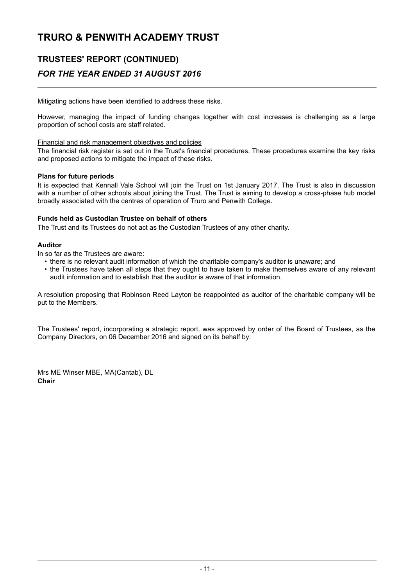## **TRUSTEES' REPORT (CONTINUED)** *FOR THE YEAR ENDED 31 AUGUST 2016*

Mitigating actions have been identified to address these risks.

However, managing the impact of funding changes together with cost increases is challenging as a large proportion of school costs are staff related.

#### Financial and risk management objectives and policies

The financial risk register is set out in the Trust's financial procedures. These procedures examine the key risks and proposed actions to mitigate the impact of these risks.

#### **Plans for future periods**

It is expected that Kennall Vale School will join the Trust on 1st January 2017. The Trust is also in discussion with a number of other schools about joining the Trust. The Trust is aiming to develop a cross-phase hub model broadly associated with the centres of operation of Truro and Penwith College.

#### **Funds held as Custodian Trustee on behalf of others**

The Trust and its Trustees do not act as the Custodian Trustees of any other charity.

#### **Auditor**

In so far as the Trustees are aware:

- there is no relevant audit information of which the charitable company's auditor is unaware; and
- the Trustees have taken all steps that they ought to have taken to make themselves aware of any relevant audit information and to establish that the auditor is aware of that information.

A resolution proposing that Robinson Reed Layton be reappointed as auditor of the charitable company will be put to the Members.

The Trustees' report, incorporating a strategic report, was approved by order of the Board of Trustees, as the Company Directors, on 06 December 2016 and signed on its behalf by:

Mrs ME Winser MBE, MA(Cantab), DL **Chair**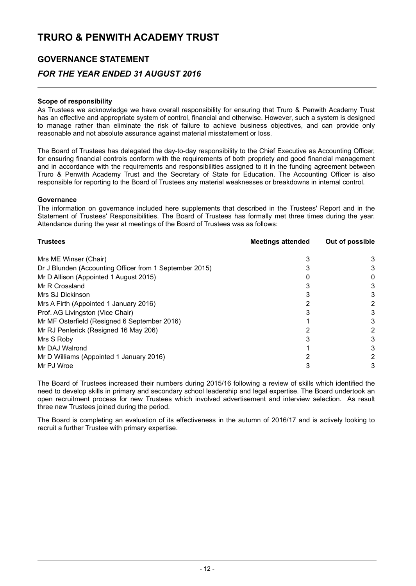### **GOVERNANCE STATEMENT**

### *FOR THE YEAR ENDED 31 AUGUST 2016*

#### **Scope of responsibility**

As Trustees we acknowledge we have overall responsibility for ensuring that Truro & Penwith Academy Trust has an effective and appropriate system of control, financial and otherwise. However, such a system is designed to manage rather than eliminate the risk of failure to achieve business objectives, and can provide only reasonable and not absolute assurance against material misstatement or loss.

The Board of Trustees has delegated the day-to-day responsibility to the Chief Executive as Accounting Officer, for ensuring financial controls conform with the requirements of both propriety and good financial management and in accordance with the requirements and responsibilities assigned to it in the funding agreement between Truro & Penwith Academy Trust and the Secretary of State for Education. The Accounting Officer is also responsible for reporting to the Board of Trustees any material weaknesses or breakdowns in internal control.

#### **Governance**

The information on governance included here supplements that described in the Trustees' Report and in the Statement of Trustees' Responsibilities. The Board of Trustees has formally met three times during the year. Attendance during the year at meetings of the Board of Trustees was as follows:

| <b>Trustees</b>                                         | <b>Meetings attended</b> | Out of possible |
|---------------------------------------------------------|--------------------------|-----------------|
| Mrs ME Winser (Chair)                                   |                          |                 |
| Dr J Blunden (Accounting Officer from 1 September 2015) |                          | 3               |
| Mr D Allison (Appointed 1 August 2015)                  |                          |                 |
| Mr R Crossland                                          |                          |                 |
| Mrs SJ Dickinson                                        |                          | 3               |
| Mrs A Firth (Appointed 1 January 2016)                  |                          | 2               |
| Prof. AG Livingston (Vice Chair)                        |                          | 3               |
| Mr MF Osterfield (Resigned 6 September 2016)            |                          | 3               |
| Mr RJ Penlerick (Resigned 16 May 206)                   |                          | 2               |
| Mrs S Roby                                              |                          | 3               |
| Mr DAJ Walrond                                          |                          | 3               |
| Mr D Williams (Appointed 1 January 2016)                |                          |                 |
| Mr PJ Wroe                                              |                          |                 |

The Board of Trustees increased their numbers during 2015/16 following a review of skills which identified the need to develop skills in primary and secondary school leadership and legal expertise. The Board undertook an open recruitment process for new Trustees which involved advertisement and interview selection. As result three new Trustees joined during the period.

The Board is completing an evaluation of its effectiveness in the autumn of 2016/17 and is actively looking to recruit a further Trustee with primary expertise.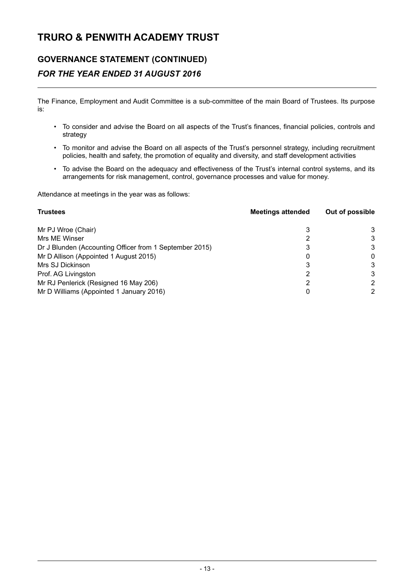### **GOVERNANCE STATEMENT (CONTINUED)** *FOR THE YEAR ENDED 31 AUGUST 2016*

The Finance, Employment and Audit Committee is a sub-committee of the main Board of Trustees. Its purpose is:

- To consider and advise the Board on all aspects of the Trust's finances, financial policies, controls and strategy
- To monitor and advise the Board on all aspects of the Trust's personnel strategy, including recruitment policies, health and safety, the promotion of equality and diversity, and staff development activities
- To advise the Board on the adequacy and effectiveness of the Trust's internal control systems, and its arrangements for risk management, control, governance processes and value for money.

Attendance at meetings in the year was as follows:

| <b>Trustees</b>                                         | <b>Meetings attended</b> | Out of possible |
|---------------------------------------------------------|--------------------------|-----------------|
| Mr PJ Wroe (Chair)                                      |                          | 3               |
| Mrs ME Winser                                           |                          | 3               |
| Dr J Blunden (Accounting Officer from 1 September 2015) |                          | 3               |
| Mr D Allison (Appointed 1 August 2015)                  | 0                        | 0               |
| Mrs SJ Dickinson                                        | 3                        | 3               |
| Prof. AG Livingston                                     |                          | 3               |
| Mr RJ Penlerick (Resigned 16 May 206)                   |                          |                 |
| Mr D Williams (Appointed 1 January 2016)                |                          | 2               |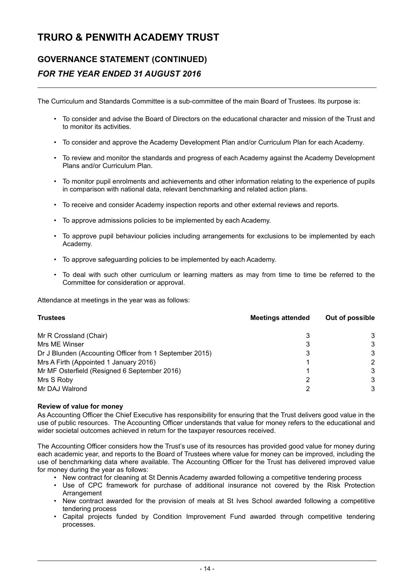## **GOVERNANCE STATEMENT (CONTINUED)** *FOR THE YEAR ENDED 31 AUGUST 2016*

The Curriculum and Standards Committee is a sub-committee of the main Board of Trustees. Its purpose is:

- To consider and advise the Board of Directors on the educational character and mission of the Trust and to monitor its activities.
- To consider and approve the Academy Development Plan and/or Curriculum Plan for each Academy.
- To review and monitor the standards and progress of each Academy against the Academy Development Plans and/or Curriculum Plan.
- To monitor pupil enrolments and achievements and other information relating to the experience of pupils in comparison with national data, relevant benchmarking and related action plans.
- To receive and consider Academy inspection reports and other external reviews and reports.
- To approve admissions policies to be implemented by each Academy.
- To approve pupil behaviour policies including arrangements for exclusions to be implemented by each Academy.
- To approve safeguarding policies to be implemented by each Academy.
- To deal with such other curriculum or learning matters as may from time to time be referred to the Committee for consideration or approval.

Attendance at meetings in the year was as follows:

| <b>Trustees</b>                                         | <b>Meetings attended</b> | Out of possible |
|---------------------------------------------------------|--------------------------|-----------------|
| Mr R Crossland (Chair)                                  |                          | 3               |
| Mrs ME Winser                                           |                          | 3               |
| Dr J Blunden (Accounting Officer from 1 September 2015) |                          | 3               |
| Mrs A Firth (Appointed 1 January 2016)                  |                          | 2               |
| Mr MF Osterfield (Resigned 6 September 2016)            |                          | 3               |
| Mrs S Roby                                              |                          | 3               |
| Mr DAJ Walrond                                          |                          | 3               |

#### **Review of value for money**

As Accounting Officer the Chief Executive has responsibility for ensuring that the Trust delivers good value in the use of public resources. The Accounting Officer understands that value for money refers to the educational and wider societal outcomes achieved in return for the taxpayer resources received.

The Accounting Officer considers how the Trust's use of its resources has provided good value for money during each academic year, and reports to the Board of Trustees where value for money can be improved, including the use of benchmarking data where available. The Accounting Officer for the Trust has delivered improved value for money during the year as follows:

- New contract for cleaning at St Dennis Academy awarded following a competitive tendering process
- Use of CPC framework for purchase of additional insurance not covered by the Risk Protection Arrangement
- New contract awarded for the provision of meals at St Ives School awarded following a competitive tendering process
- Capital projects funded by Condition Improvement Fund awarded through competitive tendering processes.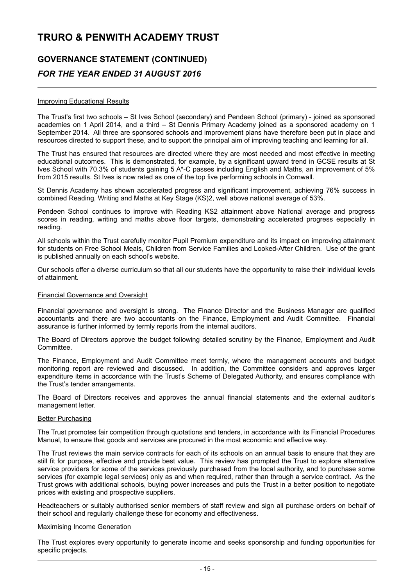## **GOVERNANCE STATEMENT (CONTINUED)** *FOR THE YEAR ENDED 31 AUGUST 2016*

#### Improving Educational Results

The Trust's first two schools – St Ives School (secondary) and Pendeen School (primary) - joined as sponsored academies on 1 April 2014, and a third – St Dennis Primary Academy joined as a sponsored academy on 1 September 2014. All three are sponsored schools and improvement plans have therefore been put in place and resources directed to support these, and to support the principal aim of improving teaching and learning for all.

The Trust has ensured that resources are directed where they are most needed and most effective in meeting educational outcomes. This is demonstrated, for example, by a significant upward trend in GCSE results at St Ives School with 70.3% of students gaining 5 A\*-C passes including English and Maths, an improvement of 5% from 2015 results. St Ives is now rated as one of the top five performing schools in Cornwall.

St Dennis Academy has shown accelerated progress and significant improvement, achieving 76% success in combined Reading, Writing and Maths at Key Stage (KS)2, well above national average of 53%.

Pendeen School continues to improve with Reading KS2 attainment above National average and progress scores in reading, writing and maths above floor targets, demonstrating accelerated progress especially in reading.

All schools within the Trust carefully monitor Pupil Premium expenditure and its impact on improving attainment for students on Free School Meals, Children from Service Families and Looked-After Children. Use of the grant is published annually on each school's website.

Our schools offer a diverse curriculum so that all our students have the opportunity to raise their individual levels of attainment.

#### Financial Governance and Oversight

Financial governance and oversight is strong. The Finance Director and the Business Manager are qualified accountants and there are two accountants on the Finance, Employment and Audit Committee. Financial assurance is further informed by termly reports from the internal auditors.

The Board of Directors approve the budget following detailed scrutiny by the Finance, Employment and Audit Committee.

The Finance, Employment and Audit Committee meet termly, where the management accounts and budget monitoring report are reviewed and discussed. In addition, the Committee considers and approves larger expenditure items in accordance with the Trust's Scheme of Delegated Authority, and ensures compliance with the Trust's tender arrangements.

The Board of Directors receives and approves the annual financial statements and the external auditor's management letter.

#### Better Purchasing

The Trust promotes fair competition through quotations and tenders, in accordance with its Financial Procedures Manual, to ensure that goods and services are procured in the most economic and effective way.

The Trust reviews the main service contracts for each of its schools on an annual basis to ensure that they are still fit for purpose, effective and provide best value. This review has prompted the Trust to explore alternative service providers for some of the services previously purchased from the local authority, and to purchase some services (for example legal services) only as and when required, rather than through a service contract. As the Trust grows with additional schools, buying power increases and puts the Trust in a better position to negotiate prices with existing and prospective suppliers.

Headteachers or suitably authorised senior members of staff review and sign all purchase orders on behalf of their school and regularly challenge these for economy and effectiveness.

#### Maximising Income Generation

The Trust explores every opportunity to generate income and seeks sponsorship and funding opportunities for specific projects.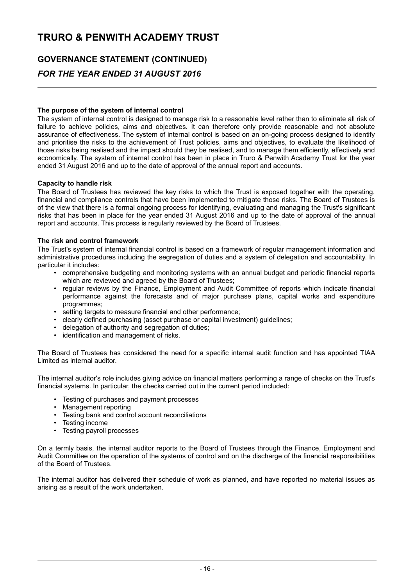## **GOVERNANCE STATEMENT (CONTINUED)** *FOR THE YEAR ENDED 31 AUGUST 2016*

#### **The purpose of the system of internal control**

The system of internal control is designed to manage risk to a reasonable level rather than to eliminate all risk of failure to achieve policies, aims and objectives. It can therefore only provide reasonable and not absolute assurance of effectiveness. The system of internal control is based on an on-going process designed to identify and prioritise the risks to the achievement of Trust policies, aims and objectives, to evaluate the likelihood of those risks being realised and the impact should they be realised, and to manage them efficiently, effectively and economically. The system of internal control has been in place in Truro & Penwith Academy Trust for the year ended 31 August 2016 and up to the date of approval of the annual report and accounts.

#### **Capacity to handle risk**

The Board of Trustees has reviewed the key risks to which the Trust is exposed together with the operating, financial and compliance controls that have been implemented to mitigate those risks. The Board of Trustees is of the view that there is a formal ongoing process for identifying, evaluating and managing the Trust's significant risks that has been in place for the year ended 31 August 2016 and up to the date of approval of the annual report and accounts. This process is regularly reviewed by the Board of Trustees.

#### **The risk and control framework**

The Trust's system of internal financial control is based on a framework of regular management information and administrative procedures including the segregation of duties and a system of delegation and accountability. In particular it includes:

- comprehensive budgeting and monitoring systems with an annual budget and periodic financial reports which are reviewed and agreed by the Board of Trustees;
- regular reviews by the Finance, Employment and Audit Committee of reports which indicate financial performance against the forecasts and of major purchase plans, capital works and expenditure programmes;
- setting targets to measure financial and other performance;
- clearly defined purchasing (asset purchase or capital investment) guidelines;
- delegation of authority and segregation of duties;
- identification and management of risks.

The Board of Trustees has considered the need for a specific internal audit function and has appointed TIAA Limited as internal auditor.

The internal auditor's role includes giving advice on financial matters performing a range of checks on the Trust's financial systems. In particular, the checks carried out in the current period included:

- Testing of purchases and payment processes
- Management reporting
- Testing bank and control account reconciliations
- Testing income
- Testing payroll processes

On a termly basis, the internal auditor reports to the Board of Trustees through the Finance, Employment and Audit Committee on the operation of the systems of control and on the discharge of the financial responsibilities of the Board of Trustees.

The internal auditor has delivered their schedule of work as planned, and have reported no material issues as arising as a result of the work undertaken.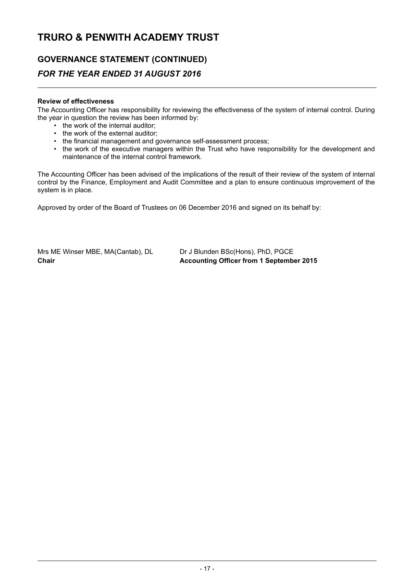## **GOVERNANCE STATEMENT (CONTINUED)** *FOR THE YEAR ENDED 31 AUGUST 2016*

#### **Review of effectiveness**

The Accounting Officer has responsibility for reviewing the effectiveness of the system of internal control. During the year in question the review has been informed by:

- the work of the internal auditor;
- the work of the external auditor;
- the financial management and governance self-assessment process;
- the work of the executive managers within the Trust who have responsibility for the development and maintenance of the internal control framework.

The Accounting Officer has been advised of the implications of the result of their review of the system of internal control by the Finance, Employment and Audit Committee and a plan to ensure continuous improvement of the system is in place.

Approved by order of the Board of Trustees on 06 December 2016 and signed on its behalf by:

Mrs ME Winser MBE, MA(Cantab), DL Dr J Blunden BSc(Hons), PhD, PGCE

**Chair Accounting Officer from 1 September 2015**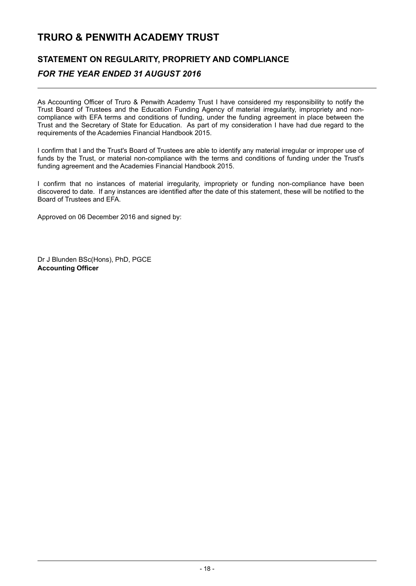### **STATEMENT ON REGULARITY, PROPRIETY AND COMPLIANCE** *FOR THE YEAR ENDED 31 AUGUST 2016*

As Accounting Officer of Truro & Penwith Academy Trust I have considered my responsibility to notify the Trust Board of Trustees and the Education Funding Agency of material irregularity, impropriety and noncompliance with EFA terms and conditions of funding, under the funding agreement in place between the Trust and the Secretary of State for Education. As part of my consideration I have had due regard to the requirements of the Academies Financial Handbook 2015.

I confirm that I and the Trust's Board of Trustees are able to identify any material irregular or improper use of funds by the Trust, or material non-compliance with the terms and conditions of funding under the Trust's funding agreement and the Academies Financial Handbook 2015.

I confirm that no instances of material irregularity, impropriety or funding non-compliance have been discovered to date. If any instances are identified after the date of this statement, these will be notified to the Board of Trustees and EFA.

Approved on 06 December 2016 and signed by:

Dr J Blunden BSc(Hons), PhD, PGCE **Accounting Officer**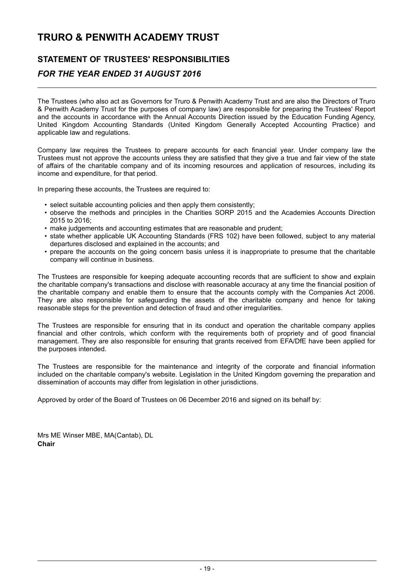## **STATEMENT OF TRUSTEES' RESPONSIBILITIES**

### *FOR THE YEAR ENDED 31 AUGUST 2016*

The Trustees (who also act as Governors for Truro & Penwith Academy Trust and are also the Directors of Truro & Penwith Academy Trust for the purposes of company law) are responsible for preparing the Trustees' Report and the accounts in accordance with the Annual Accounts Direction issued by the Education Funding Agency, United Kingdom Accounting Standards (United Kingdom Generally Accepted Accounting Practice) and applicable law and regulations.

Company law requires the Trustees to prepare accounts for each financial year. Under company law the Trustees must not approve the accounts unless they are satisfied that they give a true and fair view of the state of affairs of the charitable company and of its incoming resources and application of resources, including its income and expenditure, for that period.

In preparing these accounts, the Trustees are required to:

- select suitable accounting policies and then apply them consistently;
- observe the methods and principles in the Charities SORP 2015 and the Academies Accounts Direction 2015 to 2016;
- make judgements and accounting estimates that are reasonable and prudent;
- state whether applicable UK Accounting Standards (FRS 102) have been followed, subject to any material departures disclosed and explained in the accounts; and
- prepare the accounts on the going concern basis unless it is inappropriate to presume that the charitable company will continue in business.

The Trustees are responsible for keeping adequate accounting records that are sufficient to show and explain the charitable company's transactions and disclose with reasonable accuracy at any time the financial position of the charitable company and enable them to ensure that the accounts comply with the Companies Act 2006. They are also responsible for safeguarding the assets of the charitable company and hence for taking reasonable steps for the prevention and detection of fraud and other irregularities.

The Trustees are responsible for ensuring that in its conduct and operation the charitable company applies financial and other controls, which conform with the requirements both of propriety and of good financial management. They are also responsible for ensuring that grants received from EFA/DfE have been applied for the purposes intended.

The Trustees are responsible for the maintenance and integrity of the corporate and financial information included on the charitable company's website. Legislation in the United Kingdom governing the preparation and dissemination of accounts may differ from legislation in other jurisdictions.

Approved by order of the Board of Trustees on 06 December 2016 and signed on its behalf by:

Mrs ME Winser MBE, MA(Cantab), DL **Chair**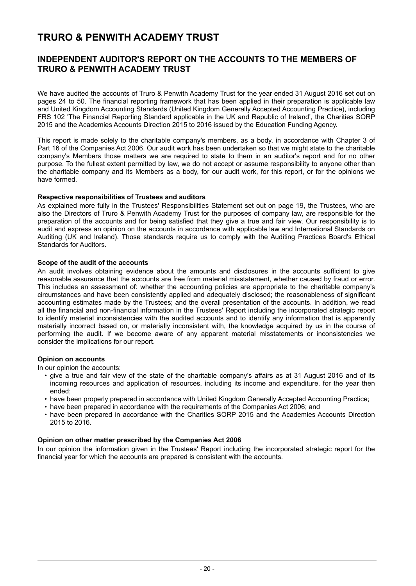### **INDEPENDENT AUDITOR'S REPORT ON THE ACCOUNTS TO THE MEMBERS OF TRURO & PENWITH ACADEMY TRUST**

We have audited the accounts of Truro & Penwith Academy Trust for the year ended 31 August 2016 set out on pages 24 to 50. The financial reporting framework that has been applied in their preparation is applicable law and United Kingdom Accounting Standards (United Kingdom Generally Accepted Accounting Practice), including FRS 102 'The Financial Reporting Standard applicable in the UK and Republic of Ireland', the Charities SORP 2015 and the Academies Accounts Direction 2015 to 2016 issued by the Education Funding Agency.

This report is made solely to the charitable company's members, as a body, in accordance with Chapter 3 of Part 16 of the Companies Act 2006. Our audit work has been undertaken so that we might state to the charitable company's Members those matters we are required to state to them in an auditor's report and for no other purpose. To the fullest extent permitted by law, we do not accept or assume responsibility to anyone other than the charitable company and its Members as a body, for our audit work, for this report, or for the opinions we have formed.

#### **Respective responsibilities of Trustees and auditors**

As explained more fully in the Trustees' Responsibilities Statement set out on page 19, the Trustees, who are also the Directors of Truro & Penwith Academy Trust for the purposes of company law, are responsible for the preparation of the accounts and for being satisfied that they give a true and fair view. Our responsibility is to audit and express an opinion on the accounts in accordance with applicable law and International Standards on Auditing (UK and Ireland). Those standards require us to comply with the Auditing Practices Board's Ethical Standards for Auditors.

#### **Scope of the audit of the accounts**

An audit involves obtaining evidence about the amounts and disclosures in the accounts sufficient to give reasonable assurance that the accounts are free from material misstatement, whether caused by fraud or error. This includes an assessment of: whether the accounting policies are appropriate to the charitable company's circumstances and have been consistently applied and adequately disclosed; the reasonableness of significant accounting estimates made by the Trustees; and the overall presentation of the accounts. In addition, we read all the financial and non-financial information in the Trustees' Report including the incorporated strategic report to identify material inconsistencies with the audited accounts and to identify any information that is apparently materially incorrect based on, or materially inconsistent with, the knowledge acquired by us in the course of performing the audit. If we become aware of any apparent material misstatements or inconsistencies we consider the implications for our report.

#### **Opinion on accounts**

In our opinion the accounts:

- give a true and fair view of the state of the charitable company's affairs as at 31 August 2016 and of its incoming resources and application of resources, including its income and expenditure, for the year then ended;
- have been properly prepared in accordance with United Kingdom Generally Accepted Accounting Practice;
- have been prepared in accordance with the requirements of the Companies Act 2006; and
- have been prepared in accordance with the Charities SORP 2015 and the Academies Accounts Direction 2015 to 2016.

#### **Opinion on other matter prescribed by the Companies Act 2006**

In our opinion the information given in the Trustees' Report including the incorporated strategic report for the financial year for which the accounts are prepared is consistent with the accounts.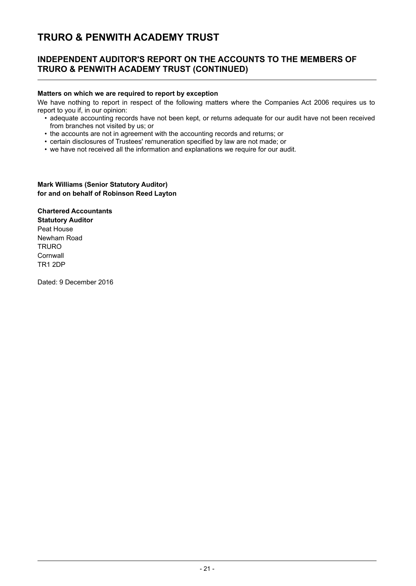### **INDEPENDENT AUDITOR'S REPORT ON THE ACCOUNTS TO THE MEMBERS OF TRURO & PENWITH ACADEMY TRUST (CONTINUED)**

#### **Matters on which we are required to report by exception**

We have nothing to report in respect of the following matters where the Companies Act 2006 requires us to report to you if, in our opinion:

- adequate accounting records have not been kept, or returns adequate for our audit have not been received from branches not visited by us; or
- the accounts are not in agreement with the accounting records and returns; or
- certain disclosures of Trustees' remuneration specified by law are not made; or
- we have not received all the information and explanations we require for our audit.

#### **Mark Williams (Senior Statutory Auditor) for and on behalf of Robinson Reed Layton**

**Chartered Accountants Statutory Auditor** Peat House Newham Road **TRURO Cornwall** TR1 2DP

Dated: 9 December 2016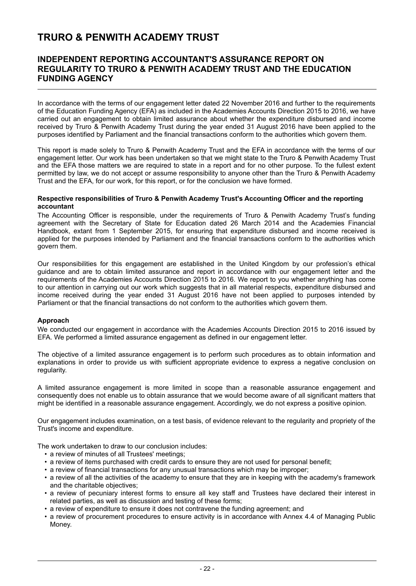### **INDEPENDENT REPORTING ACCOUNTANT'S ASSURANCE REPORT ON REGULARITY TO TRURO & PENWITH ACADEMY TRUST AND THE EDUCATION FUNDING AGENCY**

In accordance with the terms of our engagement letter dated 22 November 2016 and further to the requirements of the Education Funding Agency (EFA) as included in the Academies Accounts Direction 2015 to 2016, we have carried out an engagement to obtain limited assurance about whether the expenditure disbursed and income received by Truro & Penwith Academy Trust during the year ended 31 August 2016 have been applied to the purposes identified by Parliament and the financial transactions conform to the authorities which govern them.

This report is made solely to Truro & Penwith Academy Trust and the EFA in accordance with the terms of our engagement letter. Our work has been undertaken so that we might state to the Truro & Penwith Academy Trust and the EFA those matters we are required to state in a report and for no other purpose. To the fullest extent permitted by law, we do not accept or assume responsibility to anyone other than the Truro & Penwith Academy Trust and the EFA, for our work, for this report, or for the conclusion we have formed.

#### **Respective responsibilities of Truro & Penwith Academy Trust's Accounting Officer and the reporting accountant**

The Accounting Officer is responsible, under the requirements of Truro & Penwith Academy Trust's funding agreement with the Secretary of State for Education dated 26 March 2014 and the Academies Financial Handbook, extant from 1 September 2015, for ensuring that expenditure disbursed and income received is applied for the purposes intended by Parliament and the financial transactions conform to the authorities which govern them.

Our responsibilities for this engagement are established in the United Kingdom by our profession's ethical guidance and are to obtain limited assurance and report in accordance with our engagement letter and the requirements of the Academies Accounts Direction 2015 to 2016. We report to you whether anything has come to our attention in carrying out our work which suggests that in all material respects, expenditure disbursed and income received during the year ended 31 August 2016 have not been applied to purposes intended by Parliament or that the financial transactions do not conform to the authorities which govern them.

#### **Approach**

We conducted our engagement in accordance with the Academies Accounts Direction 2015 to 2016 issued by EFA. We performed a limited assurance engagement as defined in our engagement letter.

The objective of a limited assurance engagement is to perform such procedures as to obtain information and explanations in order to provide us with sufficient appropriate evidence to express a negative conclusion on regularity.

A limited assurance engagement is more limited in scope than a reasonable assurance engagement and consequently does not enable us to obtain assurance that we would become aware of all significant matters that might be identified in a reasonable assurance engagement. Accordingly, we do not express a positive opinion.

Our engagement includes examination, on a test basis, of evidence relevant to the regularity and propriety of the Trust's income and expenditure.

The work undertaken to draw to our conclusion includes:

- a review of minutes of all Trustees' meetings;
- a review of items purchased with credit cards to ensure they are not used for personal benefit;
- a review of financial transactions for any unusual transactions which may be improper;
- a review of all the activities of the academy to ensure that they are in keeping with the academy's framework and the charitable objectives;
- a review of pecuniary interest forms to ensure all key staff and Trustees have declared their interest in related parties, as well as discussion and testing of these forms;
- a review of expenditure to ensure it does not contravene the funding agreement; and
- a review of procurement procedures to ensure activity is in accordance with Annex 4.4 of Managing Public Money.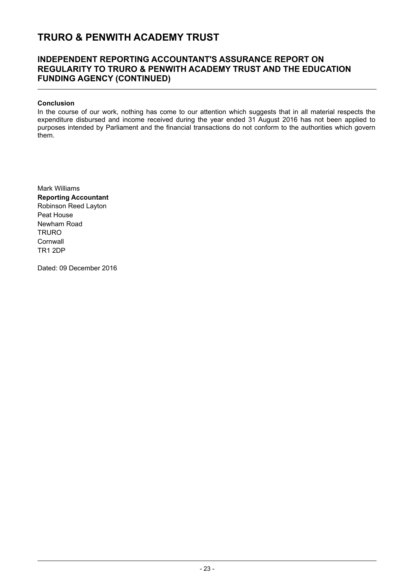### **INDEPENDENT REPORTING ACCOUNTANT'S ASSURANCE REPORT ON REGULARITY TO TRURO & PENWITH ACADEMY TRUST AND THE EDUCATION FUNDING AGENCY (CONTINUED)**

#### **Conclusion**

In the course of our work, nothing has come to our attention which suggests that in all material respects the expenditure disbursed and income received during the year ended 31 August 2016 has not been applied to purposes intended by Parliament and the financial transactions do not conform to the authorities which govern them.

Mark Williams **Reporting Accountant** Robinson Reed Layton Peat House Newham Road **TRURO Cornwall** TR1 2DP

Dated: 09 December 2016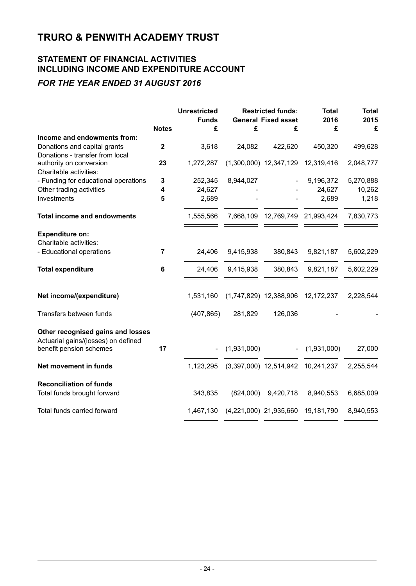### **STATEMENT OF FINANCIAL ACTIVITIES INCLUDING INCOME AND EXPENDITURE ACCOUNT**

### *FOR THE YEAR ENDED 31 AUGUST 2016*

|                                                                          | <b>Notes</b>   | <b>Unrestricted</b><br><b>Funds</b><br>£ | £                      | <b>Restricted funds:</b><br><b>General Fixed asset</b><br>£ | <b>Total</b><br>2016<br>£       | <b>Total</b><br>2015<br>£ |
|--------------------------------------------------------------------------|----------------|------------------------------------------|------------------------|-------------------------------------------------------------|---------------------------------|---------------------------|
| Income and endowments from:                                              |                |                                          |                        |                                                             |                                 |                           |
| Donations and capital grants                                             | $\mathbf 2$    | 3,618                                    | 24,082                 | 422,620                                                     | 450,320                         | 499,628                   |
| Donations - transfer from local                                          |                |                                          |                        |                                                             |                                 |                           |
| authority on conversion                                                  | 23             | 1,272,287                                |                        | $(1,300,000)$ 12,347,129                                    | 12,319,416                      | 2,048,777                 |
| Charitable activities:<br>- Funding for educational operations           | 3              | 252,345                                  | 8,944,027              |                                                             | 9,196,372                       | 5,270,888                 |
| Other trading activities                                                 | 4              | 24,627                                   |                        |                                                             | 24,627                          | 10,262                    |
| Investments                                                              | 5              | 2,689                                    |                        |                                                             | 2,689                           | 1,218                     |
|                                                                          |                |                                          |                        |                                                             |                                 |                           |
| <b>Total income and endowments</b>                                       |                | 1,555,566                                |                        |                                                             | 7,668,109 12,769,749 21,993,424 | 7,830,773                 |
| <b>Expenditure on:</b>                                                   |                |                                          |                        |                                                             |                                 |                           |
| Charitable activities:                                                   |                |                                          |                        |                                                             |                                 |                           |
| - Educational operations                                                 | $\overline{7}$ | 24,406                                   | 9,415,938              | 380,843                                                     | 9,821,187                       | 5,602,229                 |
| <b>Total expenditure</b>                                                 | 6              | 24,406                                   | 9,415,938              | 380,843                                                     | 9,821,187                       | 5,602,229                 |
|                                                                          |                |                                          |                        |                                                             |                                 |                           |
| Net income/(expenditure)                                                 |                | 1,531,160                                |                        | (1,747,829) 12,388,906 12,172,237                           |                                 | 2,228,544                 |
| Transfers between funds                                                  |                | (407, 865)                               | 281,829                | 126,036                                                     |                                 |                           |
| Other recognised gains and losses<br>Actuarial gains/(losses) on defined |                |                                          |                        |                                                             |                                 |                           |
| benefit pension schemes                                                  | 17             |                                          | (1,931,000)            |                                                             | (1,931,000)                     | 27,000                    |
| Net movement in funds                                                    |                | 1,123,295                                |                        | $(3,397,000)$ 12,514,942                                    | 10,241,237                      | 2,255,544                 |
| <b>Reconciliation of funds</b>                                           |                |                                          |                        |                                                             |                                 |                           |
| Total funds brought forward                                              |                | 343,835                                  | (824,000)              | 9,420,718                                                   | 8,940,553                       | 6,685,009                 |
| Total funds carried forward                                              |                | 1,467,130                                | (4,221,000) 21,935,660 |                                                             | 19,181,790                      | 8,940,553                 |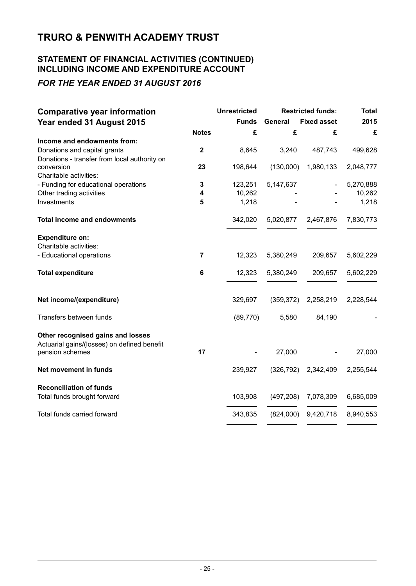### **STATEMENT OF FINANCIAL ACTIVITIES (CONTINUED) INCLUDING INCOME AND EXPENDITURE ACCOUNT**

### *FOR THE YEAR ENDED 31 AUGUST 2016*

| <b>Comparative year information</b>          |                | <b>Unrestricted</b> |                | <b>Restricted funds:</b> | <b>Total</b> |
|----------------------------------------------|----------------|---------------------|----------------|--------------------------|--------------|
| Year ended 31 August 2015                    |                | <b>Funds</b>        | <b>General</b> | <b>Fixed asset</b>       | 2015         |
|                                              | <b>Notes</b>   | £                   | £              | £                        | £            |
| Income and endowments from:                  |                |                     |                |                          |              |
| Donations and capital grants                 | $\mathbf{2}$   | 8,645               | 3,240          | 487,743                  | 499,628      |
| Donations - transfer from local authority on |                |                     |                |                          |              |
| conversion<br>Charitable activities:         | 23             | 198,644             | (130,000)      | 1,980,133                | 2,048,777    |
| - Funding for educational operations         | 3              | 123,251             | 5,147,637      |                          | 5,270,888    |
| Other trading activities                     | 4              | 10,262              |                |                          | 10,262       |
| Investments                                  | 5              | 1,218               |                |                          | 1,218        |
|                                              |                |                     |                |                          |              |
| <b>Total income and endowments</b>           |                | 342,020             | 5,020,877      | 2,467,876                | 7,830,773    |
| <b>Expenditure on:</b>                       |                |                     |                |                          |              |
| Charitable activities:                       |                |                     |                |                          |              |
| - Educational operations                     | $\overline{7}$ | 12,323              | 5,380,249      | 209,657                  | 5,602,229    |
|                                              |                |                     |                |                          |              |
| <b>Total expenditure</b>                     | 6              | 12,323              | 5,380,249      | 209,657                  | 5,602,229    |
|                                              |                |                     |                |                          |              |
| Net income/(expenditure)                     |                | 329,697             | (359, 372)     | 2,258,219                | 2,228,544    |
| Transfers between funds                      |                | (89, 770)           | 5,580          | 84,190                   |              |
|                                              |                |                     |                |                          |              |
| Other recognised gains and losses            |                |                     |                |                          |              |
| Actuarial gains/(losses) on defined benefit  |                |                     |                |                          |              |
| pension schemes                              | 17             |                     | 27,000         |                          | 27,000       |
| Net movement in funds                        |                | 239,927             | (326, 792)     | 2,342,409                | 2,255,544    |
| <b>Reconciliation of funds</b>               |                |                     |                |                          |              |
| Total funds brought forward                  |                | 103,908             | (497, 208)     | 7,078,309                | 6,685,009    |
|                                              |                |                     |                |                          |              |
| Total funds carried forward                  |                | 343,835             | (824,000)      | 9,420,718                | 8,940,553    |
|                                              |                |                     |                |                          |              |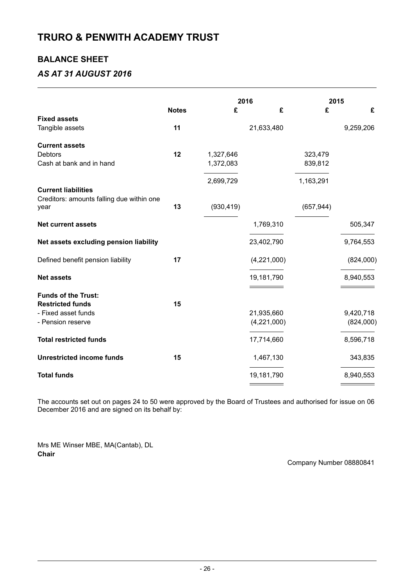### **BALANCE SHEET**

### *AS AT 31 AUGUST 2016*

|                                           |              |            | 2016        |            | 2015      |  |  |
|-------------------------------------------|--------------|------------|-------------|------------|-----------|--|--|
|                                           | <b>Notes</b> | £          | £           | £          | £         |  |  |
| <b>Fixed assets</b>                       |              |            |             |            |           |  |  |
| Tangible assets                           | 11           |            | 21,633,480  |            | 9,259,206 |  |  |
| <b>Current assets</b>                     |              |            |             |            |           |  |  |
| <b>Debtors</b>                            | 12           | 1,327,646  |             | 323,479    |           |  |  |
| Cash at bank and in hand                  |              | 1,372,083  |             | 839,812    |           |  |  |
|                                           |              |            |             |            |           |  |  |
|                                           |              | 2,699,729  |             | 1,163,291  |           |  |  |
| <b>Current liabilities</b>                |              |            |             |            |           |  |  |
| Creditors: amounts falling due within one |              |            |             |            |           |  |  |
| year                                      | 13           | (930, 419) |             | (657, 944) |           |  |  |
| <b>Net current assets</b>                 |              |            | 1,769,310   |            | 505,347   |  |  |
| Net assets excluding pension liability    |              |            | 23,402,790  |            | 9,764,553 |  |  |
| Defined benefit pension liability         | 17           |            | (4,221,000) |            | (824,000) |  |  |
| <b>Net assets</b>                         |              |            | 19,181,790  |            | 8,940,553 |  |  |
|                                           |              |            |             |            |           |  |  |
| <b>Funds of the Trust:</b>                |              |            |             |            |           |  |  |
| <b>Restricted funds</b>                   | 15           |            |             |            |           |  |  |
| - Fixed asset funds                       |              |            | 21,935,660  |            | 9,420,718 |  |  |
| - Pension reserve                         |              |            | (4,221,000) |            | (824,000) |  |  |
| <b>Total restricted funds</b>             |              |            | 17,714,660  |            | 8,596,718 |  |  |
| <b>Unrestricted income funds</b>          | 15           |            | 1,467,130   |            | 343,835   |  |  |
| <b>Total funds</b>                        |              |            | 19,181,790  |            | 8,940,553 |  |  |
|                                           |              |            |             |            |           |  |  |

The accounts set out on pages 24 to 50 were approved by the Board of Trustees and authorised for issue on 06 December 2016 and are signed on its behalf by:

Mrs ME Winser MBE, MA(Cantab), DL **Chair**

Company Number 08880841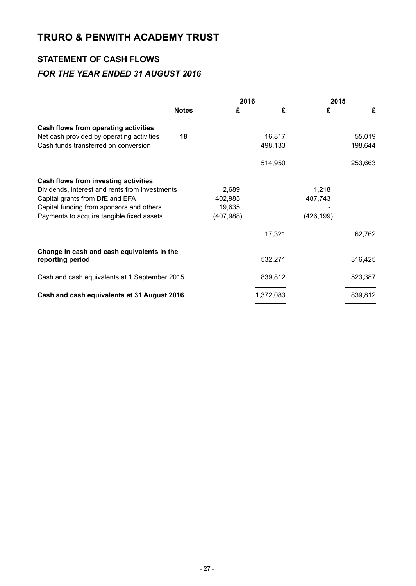## **STATEMENT OF CASH FLOWS**

### *FOR THE YEAR ENDED 31 AUGUST 2016*

|                                                                                                                                                                                                                    | <b>Notes</b> | 2016<br>£<br>£                           |                    | 2015<br>£                      | £                  |
|--------------------------------------------------------------------------------------------------------------------------------------------------------------------------------------------------------------------|--------------|------------------------------------------|--------------------|--------------------------------|--------------------|
| Cash flows from operating activities<br>Net cash provided by operating activities                                                                                                                                  | 18           |                                          | 16,817             |                                | 55,019             |
| Cash funds transferred on conversion                                                                                                                                                                               |              |                                          | 498,133<br>514,950 |                                | 198,644<br>253,663 |
| Cash flows from investing activities<br>Dividends, interest and rents from investments<br>Capital grants from DfE and EFA<br>Capital funding from sponsors and others<br>Payments to acquire tangible fixed assets |              | 2,689<br>402,985<br>19,635<br>(407, 988) |                    | 1,218<br>487,743<br>(426, 199) |                    |
|                                                                                                                                                                                                                    |              |                                          | 17,321             |                                | 62,762             |
| Change in cash and cash equivalents in the<br>reporting period                                                                                                                                                     |              |                                          | 532,271            |                                | 316,425            |
| Cash and cash equivalents at 1 September 2015                                                                                                                                                                      |              |                                          | 839,812            |                                | 523,387            |
| Cash and cash equivalents at 31 August 2016                                                                                                                                                                        |              |                                          | 1,372,083          |                                | 839,812            |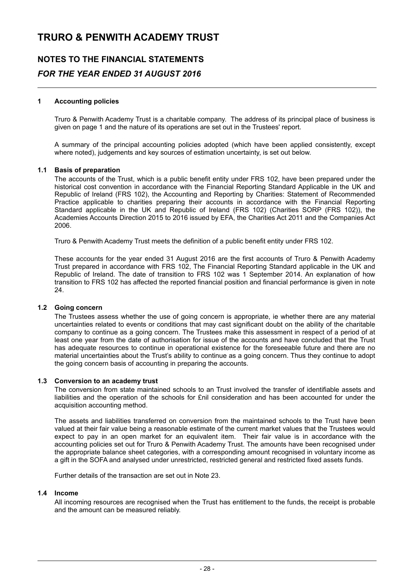## **NOTES TO THE FINANCIAL STATEMENTS** *FOR THE YEAR ENDED 31 AUGUST 2016*

#### **1 Accounting policies**

Truro & Penwith Academy Trust is a charitable company. The address of its principal place of business is given on page 1 and the nature of its operations are set out in the Trustees' report.

A summary of the principal accounting policies adopted (which have been applied consistently, except where noted), judgements and key sources of estimation uncertainty, is set out below.

#### **1.1 Basis of preparation**

The accounts of the Trust, which is a public benefit entity under FRS 102, have been prepared under the historical cost convention in accordance with the Financial Reporting Standard Applicable in the UK and Republic of Ireland (FRS 102), the Accounting and Reporting by Charities: Statement of Recommended Practice applicable to charities preparing their accounts in accordance with the Financial Reporting Standard applicable in the UK and Republic of Ireland (FRS 102) (Charities SORP (FRS 102)), the Academies Accounts Direction 2015 to 2016 issued by EFA, the Charities Act 2011 and the Companies Act 2006.

Truro & Penwith Academy Trust meets the definition of a public benefit entity under FRS 102.

These accounts for the year ended 31 August 2016 are the first accounts of Truro & Penwith Academy Trust prepared in accordance with FRS 102, The Financial Reporting Standard applicable in the UK and Republic of Ireland. The date of transition to FRS 102 was 1 September 2014. An explanation of how transition to FRS 102 has affected the reported financial position and financial performance is given in note 24.

#### **1.2 Going concern**

The Trustees assess whether the use of going concern is appropriate, ie whether there are any material uncertainties related to events or conditions that may cast significant doubt on the ability of the charitable company to continue as a going concern. The Trustees make this assessment in respect of a period of at least one year from the date of authorisation for issue of the accounts and have concluded that the Trust has adequate resources to continue in operational existence for the foreseeable future and there are no material uncertainties about the Trust's ability to continue as a going concern. Thus they continue to adopt the going concern basis of accounting in preparing the accounts.

#### **1.3 Conversion to an academy trust**

The conversion from state maintained schools to an Trust involved the transfer of identifiable assets and liabilities and the operation of the schools for £nil consideration and has been accounted for under the acquisition accounting method.

The assets and liabilities transferred on conversion from the maintained schools to the Trust have been valued at their fair value being a reasonable estimate of the current market values that the Trustees would expect to pay in an open market for an equivalent item. Their fair value is in accordance with the accounting policies set out for Truro & Penwith Academy Trust. The amounts have been recognised under the appropriate balance sheet categories, with a corresponding amount recognised in voluntary income as a gift in the SOFA and analysed under unrestricted, restricted general and restricted fixed assets funds.

Further details of the transaction are set out in Note 23.

#### **1.4 Income**

All incoming resources are recognised when the Trust has entitlement to the funds, the receipt is probable and the amount can be measured reliably.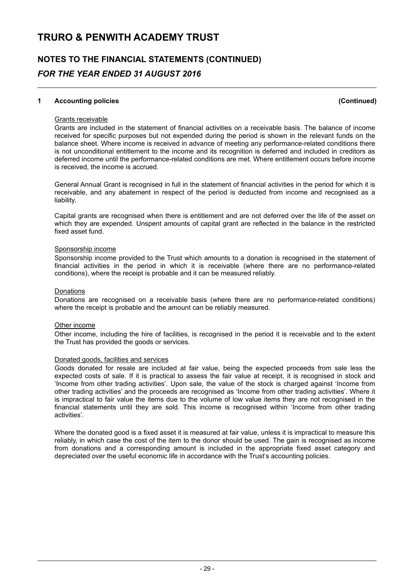## **NOTES TO THE FINANCIAL STATEMENTS (CONTINUED)** *FOR THE YEAR ENDED 31 AUGUST 2016*

#### **1 Accounting policies (Continued)**

#### Grants receivable

Grants are included in the statement of financial activities on a receivable basis. The balance of income received for specific purposes but not expended during the period is shown in the relevant funds on the balance sheet. Where income is received in advance of meeting any performance-related conditions there is not unconditional entitlement to the income and its recognition is deferred and included in creditors as deferred income until the performance-related conditions are met. Where entitlement occurs before income is received, the income is accrued.

General Annual Grant is recognised in full in the statement of financial activities in the period for which it is receivable, and any abatement in respect of the period is deducted from income and recognised as a liability.

Capital grants are recognised when there is entitlement and are not deferred over the life of the asset on which they are expended. Unspent amounts of capital grant are reflected in the balance in the restricted fixed asset fund.

#### Sponsorship income

Sponsorship income provided to the Trust which amounts to a donation is recognised in the statement of financial activities in the period in which it is receivable (where there are no performance-related conditions), where the receipt is probable and it can be measured reliably.

#### Donations

Donations are recognised on a receivable basis (where there are no performance-related conditions) where the receipt is probable and the amount can be reliably measured.

#### Other income

Other income, including the hire of facilities, is recognised in the period it is receivable and to the extent the Trust has provided the goods or services.

#### Donated goods, facilities and services

Goods donated for resale are included at fair value, being the expected proceeds from sale less the expected costs of sale. If it is practical to assess the fair value at receipt, it is recognised in stock and 'Income from other trading activities'. Upon sale, the value of the stock is charged against 'Income from other trading activities' and the proceeds are recognised as 'Income from other trading activities'. Where it is impractical to fair value the items due to the volume of low value items they are not recognised in the financial statements until they are sold. This income is recognised within 'Income from other trading activities'.

Where the donated good is a fixed asset it is measured at fair value, unless it is impractical to measure this reliably, in which case the cost of the item to the donor should be used. The gain is recognised as income from donations and a corresponding amount is included in the appropriate fixed asset category and depreciated over the useful economic life in accordance with the Trust's accounting policies.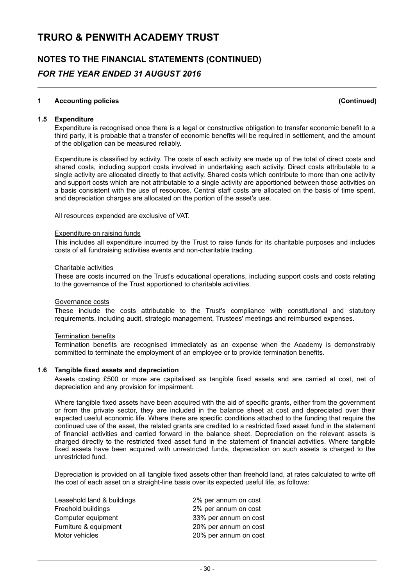## **NOTES TO THE FINANCIAL STATEMENTS (CONTINUED)** *FOR THE YEAR ENDED 31 AUGUST 2016*

#### **1 Accounting policies (Continued)**

#### **1.5 Expenditure**

Expenditure is recognised once there is a legal or constructive obligation to transfer economic benefit to a third party, it is probable that a transfer of economic benefits will be required in settlement, and the amount of the obligation can be measured reliably.

Expenditure is classified by activity. The costs of each activity are made up of the total of direct costs and shared costs, including support costs involved in undertaking each activity. Direct costs attributable to a single activity are allocated directly to that activity. Shared costs which contribute to more than one activity and support costs which are not attributable to a single activity are apportioned between those activities on a basis consistent with the use of resources. Central staff costs are allocated on the basis of time spent, and depreciation charges are allocated on the portion of the asset's use.

All resources expended are exclusive of VAT.

#### Expenditure on raising funds

This includes all expenditure incurred by the Trust to raise funds for its charitable purposes and includes costs of all fundraising activities events and non-charitable trading.

#### Charitable activities

These are costs incurred on the Trust's educational operations, including support costs and costs relating to the governance of the Trust apportioned to charitable activities.

#### Governance costs

These include the costs attributable to the Trust's compliance with constitutional and statutory requirements, including audit, strategic management, Trustees' meetings and reimbursed expenses.

#### **Termination benefits**

Termination benefits are recognised immediately as an expense when the Academy is demonstrably committed to terminate the employment of an employee or to provide termination benefits.

#### **1.6 Tangible fixed assets and depreciation**

Assets costing £500 or more are capitalised as tangible fixed assets and are carried at cost, net of depreciation and any provision for impairment.

Where tangible fixed assets have been acquired with the aid of specific grants, either from the government or from the private sector, they are included in the balance sheet at cost and depreciated over their expected useful economic life. Where there are specific conditions attached to the funding that require the continued use of the asset, the related grants are credited to a restricted fixed asset fund in the statement of financial activities and carried forward in the balance sheet. Depreciation on the relevant assets is charged directly to the restricted fixed asset fund in the statement of financial activities. Where tangible fixed assets have been acquired with unrestricted funds, depreciation on such assets is charged to the unrestricted fund.

Depreciation is provided on all tangible fixed assets other than freehold land, at rates calculated to write off the cost of each asset on a straight-line basis over its expected useful life, as follows:

| Leasehold land & buildings | 2% per annum on cost  |
|----------------------------|-----------------------|
| Freehold buildings         | 2% per annum on cost  |
| Computer equipment         | 33% per annum on cost |
| Furniture & equipment      | 20% per annum on cost |
| Motor vehicles             | 20% per annum on cost |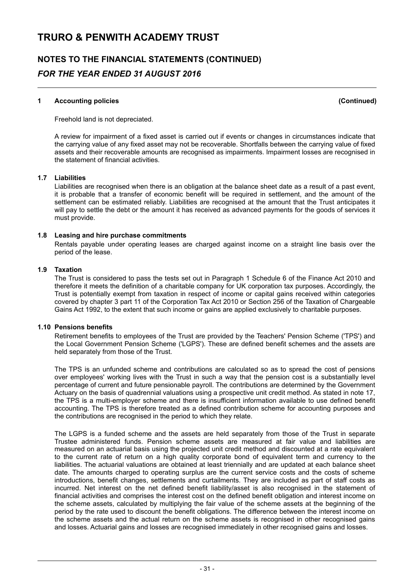## **NOTES TO THE FINANCIAL STATEMENTS (CONTINUED)** *FOR THE YEAR ENDED 31 AUGUST 2016*

#### **1 Accounting policies (Continued)**

Freehold land is not depreciated.

A review for impairment of a fixed asset is carried out if events or changes in circumstances indicate that the carrying value of any fixed asset may not be recoverable. Shortfalls between the carrying value of fixed assets and their recoverable amounts are recognised as impairments. Impairment losses are recognised in the statement of financial activities.

#### **1.7 Liabilities**

Liabilities are recognised when there is an obligation at the balance sheet date as a result of a past event, it is probable that a transfer of economic benefit will be required in settlement, and the amount of the settlement can be estimated reliably. Liabilities are recognised at the amount that the Trust anticipates it will pay to settle the debt or the amount it has received as advanced payments for the goods of services it must provide.

#### **1.8 Leasing and hire purchase commitments**

Rentals payable under operating leases are charged against income on a straight line basis over the period of the lease.

#### **1.9 Taxation**

The Trust is considered to pass the tests set out in Paragraph 1 Schedule 6 of the Finance Act 2010 and therefore it meets the definition of a charitable company for UK corporation tax purposes. Accordingly, the Trust is potentially exempt from taxation in respect of income or capital gains received within categories covered by chapter 3 part 11 of the Corporation Tax Act 2010 or Section 256 of the Taxation of Chargeable Gains Act 1992, to the extent that such income or gains are applied exclusively to charitable purposes.

#### **1.10 Pensions benefits**

Retirement benefits to employees of the Trust are provided by the Teachers' Pension Scheme ('TPS') and the Local Government Pension Scheme ('LGPS'). These are defined benefit schemes and the assets are held separately from those of the Trust.

The TPS is an unfunded scheme and contributions are calculated so as to spread the cost of pensions over employees' working lives with the Trust in such a way that the pension cost is a substantially level percentage of current and future pensionable payroll. The contributions are determined by the Government Actuary on the basis of quadrennial valuations using a prospective unit credit method. As stated in note 17, the TPS is a multi-employer scheme and there is insufficient information available to use defined benefit accounting. The TPS is therefore treated as a defined contribution scheme for accounting purposes and the contributions are recognised in the period to which they relate.

The LGPS is a funded scheme and the assets are held separately from those of the Trust in separate Trustee administered funds. Pension scheme assets are measured at fair value and liabilities are measured on an actuarial basis using the projected unit credit method and discounted at a rate equivalent to the current rate of return on a high quality corporate bond of equivalent term and currency to the liabilities. The actuarial valuations are obtained at least triennially and are updated at each balance sheet date. The amounts charged to operating surplus are the current service costs and the costs of scheme introductions, benefit changes, settlements and curtailments. They are included as part of staff costs as incurred. Net interest on the net defined benefit liability/asset is also recognised in the statement of financial activities and comprises the interest cost on the defined benefit obligation and interest income on the scheme assets, calculated by multiplying the fair value of the scheme assets at the beginning of the period by the rate used to discount the benefit obligations. The difference between the interest income on the scheme assets and the actual return on the scheme assets is recognised in other recognised gains and losses. Actuarial gains and losses are recognised immediately in other recognised gains and losses.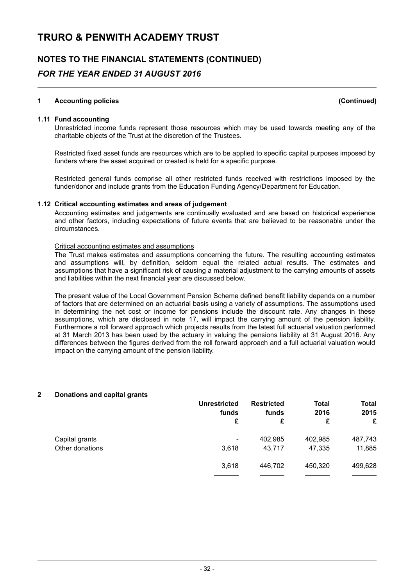### **NOTES TO THE FINANCIAL STATEMENTS (CONTINUED)** *FOR THE YEAR ENDED 31 AUGUST 2016*

#### **1 Accounting policies (Continued)**

#### **1.11 Fund accounting**

Unrestricted income funds represent those resources which may be used towards meeting any of the charitable objects of the Trust at the discretion of the Trustees.

Restricted fixed asset funds are resources which are to be applied to specific capital purposes imposed by funders where the asset acquired or created is held for a specific purpose.

Restricted general funds comprise all other restricted funds received with restrictions imposed by the funder/donor and include grants from the Education Funding Agency/Department for Education.

#### **1.12 Critical accounting estimates and areas of judgement**

Accounting estimates and judgements are continually evaluated and are based on historical experience and other factors, including expectations of future events that are believed to be reasonable under the circumstances.

#### Critical accounting estimates and assumptions

The Trust makes estimates and assumptions concerning the future. The resulting accounting estimates and assumptions will, by definition, seldom equal the related actual results. The estimates and assumptions that have a significant risk of causing a material adjustment to the carrying amounts of assets and liabilities within the next financial year are discussed below.

The present value of the Local Government Pension Scheme defined benefit liability depends on a number of factors that are determined on an actuarial basis using a variety of assumptions. The assumptions used in determining the net cost or income for pensions include the discount rate. Any changes in these assumptions, which are disclosed in note 17, will impact the carrying amount of the pension liability. Furthermore a roll forward approach which projects results from the latest full actuarial valuation performed at 31 March 2013 has been used by the actuary in valuing the pensions liability at 31 August 2016. Any differences between the figures derived from the roll forward approach and a full actuarial valuation would impact on the carrying amount of the pension liability.

#### **2 Donations and capital grants**

|                 | <b>Unrestricted</b><br>funds | <b>Restricted</b><br>funds | <b>Total</b><br>2016 | Total<br>2015 |
|-----------------|------------------------------|----------------------------|----------------------|---------------|
|                 | £                            | £                          | £                    | £             |
| Capital grants  | ۰                            | 402,985                    | 402,985              | 487,743       |
| Other donations | 3,618                        | 43.717                     | 47,335               | 11,885        |
|                 | 3,618                        | 446.702                    | 450,320              | 499,628       |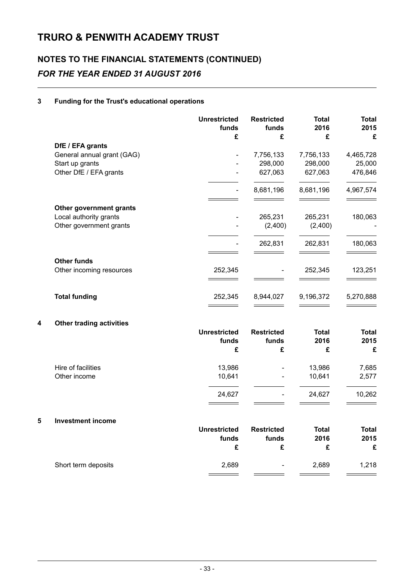## **NOTES TO THE FINANCIAL STATEMENTS (CONTINUED)** *FOR THE YEAR ENDED 31 AUGUST 2016*

#### **3 Funding for the Trust's educational operations**

|   |                                                                         | <b>Unrestricted</b><br>funds<br>£ | <b>Restricted</b><br>funds<br>£ | <b>Total</b><br>2016<br>£       | <b>Total</b><br>2015<br>£      |
|---|-------------------------------------------------------------------------|-----------------------------------|---------------------------------|---------------------------------|--------------------------------|
|   | DfE / EFA grants                                                        |                                   |                                 |                                 |                                |
|   | General annual grant (GAG)<br>Start up grants<br>Other DfE / EFA grants |                                   | 7,756,133<br>298,000<br>627,063 | 7,756,133<br>298,000<br>627,063 | 4,465,728<br>25,000<br>476,846 |
|   |                                                                         |                                   |                                 |                                 |                                |
|   |                                                                         | $\overline{\phantom{a}}$          | 8,681,196                       | 8,681,196                       | 4,967,574                      |
|   | Other government grants                                                 |                                   |                                 |                                 |                                |
|   | Local authority grants                                                  |                                   | 265,231                         | 265,231                         | 180,063                        |
|   | Other government grants                                                 |                                   | (2,400)                         | (2,400)                         |                                |
|   |                                                                         |                                   | 262,831                         | 262,831                         | 180,063                        |
|   | <b>Other funds</b><br>Other incoming resources                          | 252,345                           |                                 | 252,345                         | 123,251                        |
|   |                                                                         |                                   |                                 |                                 |                                |
|   | <b>Total funding</b>                                                    | 252,345                           | 8,944,027                       | 9,196,372                       | 5,270,888                      |
| 4 | <b>Other trading activities</b>                                         |                                   |                                 |                                 |                                |
|   |                                                                         | <b>Unrestricted</b>               | <b>Restricted</b>               | <b>Total</b>                    | <b>Total</b>                   |
|   |                                                                         | funds<br>£                        | funds<br>£                      | 2016<br>£                       | 2015<br>£                      |
|   | Hire of facilities                                                      | 13,986                            |                                 | 13,986                          | 7,685                          |
|   | Other income                                                            | 10,641                            | ÷,                              | 10,641                          | 2,577                          |
|   |                                                                         | 24,627                            |                                 | 24,627                          | 10,262                         |
|   |                                                                         |                                   |                                 |                                 |                                |
| 5 | <b>Investment income</b>                                                |                                   |                                 |                                 |                                |
|   |                                                                         | <b>Unrestricted</b>               | <b>Restricted</b>               | <b>Total</b>                    | <b>Total</b>                   |
|   |                                                                         | funds<br>£                        | funds<br>£                      | 2016<br>£                       | 2015<br>£                      |
|   | Short term deposits                                                     | 2,689                             |                                 | 2,689                           | 1,218                          |

 $\overline{\phantom{0}}$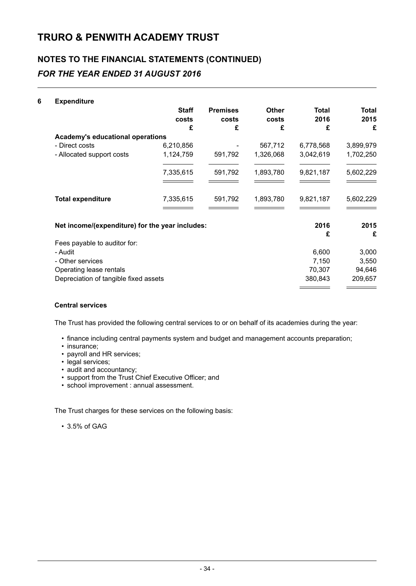## **NOTES TO THE FINANCIAL STATEMENTS (CONTINUED)** *FOR THE YEAR ENDED 31 AUGUST 2016*

#### **6 Expenditure**

|                                                 | <b>Staff</b><br>costs | <b>Premises</b><br>costs | <b>Other</b><br>costs | <b>Total</b><br>2016 | Total<br>2015 |
|-------------------------------------------------|-----------------------|--------------------------|-----------------------|----------------------|---------------|
|                                                 | £                     | £                        | £                     | £                    | £             |
| <b>Academy's educational operations</b>         |                       |                          |                       |                      |               |
| - Direct costs                                  | 6,210,856             |                          | 567,712               | 6,778,568            | 3,899,979     |
| - Allocated support costs                       | 1,124,759             | 591,792                  | 1,326,068             | 3,042,619            | 1,702,250     |
|                                                 | 7,335,615             | 591,792                  | 1,893,780             | 9,821,187            | 5,602,229     |
| <b>Total expenditure</b>                        | 7,335,615             | 591,792                  | 1,893,780             | 9,821,187            | 5,602,229     |
| Net income/(expenditure) for the year includes: |                       |                          |                       | 2016                 | 2015          |
|                                                 |                       |                          |                       | £                    | £             |
| Fees payable to auditor for:<br>- Audit         |                       |                          |                       | 6,600                | 3,000         |
| - Other services                                |                       |                          |                       | 7,150                | 3,550         |
|                                                 |                       |                          |                       |                      |               |
| Operating lease rentals                         |                       |                          |                       | 70,307               | 94,646        |
| Depreciation of tangible fixed assets           |                       |                          |                       | 380,843              | 209,657       |

#### **Central services**

The Trust has provided the following central services to or on behalf of its academies during the year:

- finance including central payments system and budget and management accounts preparation;
- insurance;
- payroll and HR services;
- legal services;
- audit and accountancy;
- support from the Trust Chief Executive Officer; and
- school improvement : annual assessment.

The Trust charges for these services on the following basis:

• 3.5% of GAG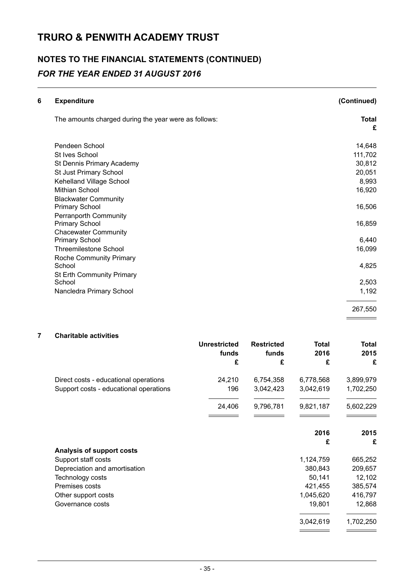## **NOTES TO THE FINANCIAL STATEMENTS (CONTINUED)** *FOR THE YEAR ENDED 31 AUGUST 2016*

| 6 | <b>Expenditure</b>                                   | (Continued)       |
|---|------------------------------------------------------|-------------------|
|   | The amounts charged during the year were as follows: | <b>Total</b><br>£ |
|   | Pendeen School                                       | 14,648            |
|   | St Ives School                                       | 111,702           |
|   | St Dennis Primary Academy                            | 30,812            |
|   | St Just Primary School                               | 20,051            |
|   | Kehelland Village School                             | 8,993             |
|   | <b>Mithian School</b>                                | 16,920            |
|   | <b>Blackwater Community</b>                          |                   |
|   | <b>Primary School</b>                                | 16,506            |
|   | <b>Perranporth Community</b>                         |                   |
|   | <b>Primary School</b>                                | 16,859            |
|   | <b>Chacewater Community</b>                          |                   |
|   | <b>Primary School</b>                                | 6,440             |
|   | <b>Threemilestone School</b>                         | 16,099            |
|   | Roche Community Primary                              |                   |
|   | School                                               | 4,825             |
|   | St Erth Community Primary                            |                   |
|   | School                                               | 2,503             |
|   | Nancledra Primary School                             | 1,192             |
|   |                                                      | 267,550           |
|   |                                                      |                   |

#### **7 Charitable activities**

|                                        | <b>Unrestricted</b><br>funds | <b>Restricted</b><br>funds | Total<br>2016 | Total<br>2015 |
|----------------------------------------|------------------------------|----------------------------|---------------|---------------|
|                                        | £                            | £                          | £             | £             |
| Direct costs - educational operations  | 24,210                       | 6,754,358                  | 6,778,568     | 3,899,979     |
| Support costs - educational operations | 196                          | 3,042,423                  | 3,042,619     | 1,702,250     |
|                                        | 24,406                       | 9,796,781                  | 9,821,187     | 5,602,229     |
|                                        |                              |                            |               |               |
|                                        |                              |                            | 2016          | 2015          |
|                                        |                              |                            | £             | £             |
| Analysis of support costs              |                              |                            |               |               |
| Support staff costs                    |                              |                            | 1,124,759     | 665,252       |
| Depreciation and amortisation          |                              |                            | 380,843       | 209,657       |
| Technology costs                       |                              |                            | 50,141        | 12,102        |
| Premises costs                         |                              |                            | 421,455       | 385,574       |
| Other support costs                    |                              |                            | 1,045,620     | 416,797       |
| Governance costs                       |                              |                            | 19,801        | 12,868        |
|                                        |                              |                            | 3,042,619     | 1,702,250     |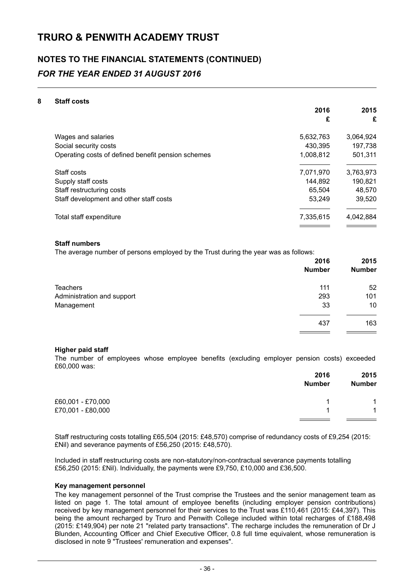## **NOTES TO THE FINANCIAL STATEMENTS (CONTINUED)** *FOR THE YEAR ENDED 31 AUGUST 2016*

#### **8 Staff costs**

|                                                    | 2016      | 2015      |
|----------------------------------------------------|-----------|-----------|
|                                                    | £         | £         |
| Wages and salaries                                 | 5,632,763 | 3,064,924 |
| Social security costs                              | 430,395   | 197,738   |
| Operating costs of defined benefit pension schemes | 1,008,812 | 501,311   |
| Staff costs                                        | 7,071,970 | 3,763,973 |
| Supply staff costs                                 | 144,892   | 190,821   |
| Staff restructuring costs                          | 65.504    | 48,570    |
| Staff development and other staff costs            | 53.249    | 39.520    |
| Total staff expenditure                            | 7,335,615 | 4,042,884 |
|                                                    |           |           |

#### **Staff numbers**

The average number of persons employed by the Trust during the year was as follows:

|                            | 2016          | 2015          |
|----------------------------|---------------|---------------|
|                            | <b>Number</b> | <b>Number</b> |
| Teachers                   | 111           | 52            |
| Administration and support | 293           | 101           |
| Management                 | 33            | 10            |
|                            | 437           | 163           |
|                            |               |               |

#### **Higher paid staff**

The number of employees whose employee benefits (excluding employer pension costs) exceeded £60,000 was:

|                   | 2016<br><b>Number</b> | 2015<br><b>Number</b> |
|-------------------|-----------------------|-----------------------|
| £60,001 - £70,000 |                       | $\overline{1}$        |
| £70,001 - £80,000 |                       | $\mathbf 1$           |
|                   |                       |                       |

Staff restructuring costs totalling £65,504 (2015: £48,570) comprise of redundancy costs of £9,254 (2015: £Nil) and severance payments of £56,250 (2015: £48,570).

Included in staff restructuring costs are non-statutory/non-contractual severance payments totalling £56,250 (2015: £Nil). Individually, the payments were £9,750, £10,000 and £36,500.

#### **Key management personnel**

The key management personnel of the Trust comprise the Trustees and the senior management team as listed on page 1. The total amount of employee benefits (including employer pension contributions) received by key management personnel for their services to the Trust was £110,461 (2015: £44,397). This being the amount recharged by Truro and Penwith College included within total recharges of £188,498 (2015: £149,904) per note 21 "related party transactions". The recharge includes the remuneration of Dr J Blunden, Accounting Officer and Chief Executive Officer, 0.8 full time equivalent, whose remuneration is disclosed in note 9 "Trustees' remuneration and expenses".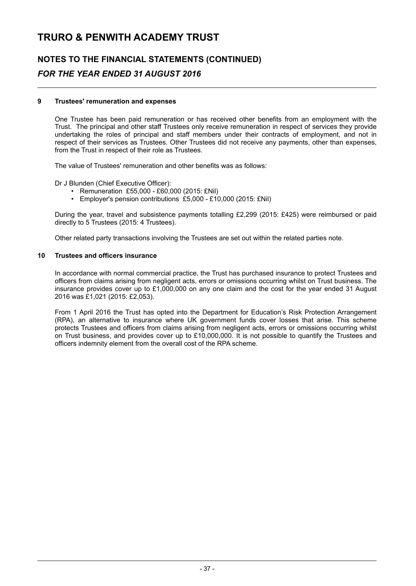## **NOTES TO THE FINANCIAL STATEMENTS (CONTINUED)** *FOR THE YEAR ENDED 31 AUGUST 2016*

#### **9 Trustees' remuneration and expenses**

One Trustee has been paid remuneration or has received other benefits from an employment with the Trust. The principal and other staff Trustees only receive remuneration in respect of services they provide undertaking the roles of principal and staff members under their contracts of employment, and not in respect of their services as Trustees. Other Trustees did not receive any payments, other than expenses, from the Trust in respect of their role as Trustees.

The value of Trustees' remuneration and other benefits was as follows:

Dr J Blunden (Chief Executive Officer):

- Remuneration £55,000 £60,000 (2015: £Nil)
- Employer's pension contributions £5,000 £10,000 (2015: £Nil)

During the year, travel and subsistence payments totalling £2,299 (2015: £425) were reimbursed or paid directly to 5 Trustees (2015: 4 Trustees).

Other related party transactions involving the Trustees are set out within the related parties note.

#### **10 Trustees and officers insurance**

In accordance with normal commercial practice, the Trust has purchased insurance to protect Trustees and officers from claims arising from negligent acts, errors or omissions occurring whilst on Trust business. The insurance provides cover up to £1,000,000 on any one claim and the cost for the year ended 31 August 2016 was £1,021 (2015: £2,053).

From 1 April 2016 the Trust has opted into the Department for Education's Risk Protection Arrangement (RPA), an alternative to insurance where UK government funds cover losses that arise. This scheme protects Trustees and officers from claims arising from negligent acts, errors or omissions occurring whilst on Trust business, and provides cover up to £10,000,000. It is not possible to quantify the Trustees and officers indemnity element from the overall cost of the RPA scheme.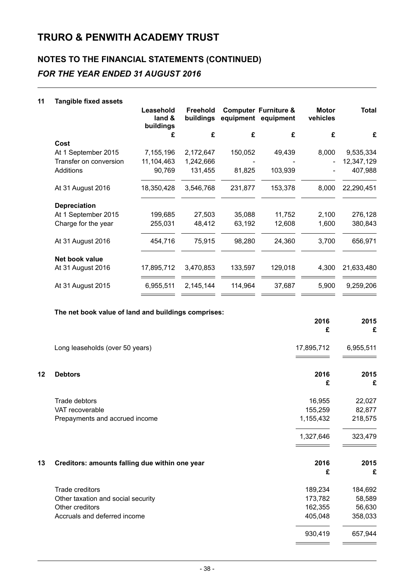## **NOTES TO THE FINANCIAL STATEMENTS (CONTINUED)** *FOR THE YEAR ENDED 31 AUGUST 2016*

#### **11 Tangible fixed assets**

|                        | Leasehold<br>land &<br>buildings | <b>Freehold</b><br>buildings |         | <b>Computer Furniture &amp;</b><br>equipment equipment | <b>Motor</b><br>vehicles | <b>Total</b> |
|------------------------|----------------------------------|------------------------------|---------|--------------------------------------------------------|--------------------------|--------------|
|                        | £                                | £                            | £       | £                                                      | £                        | £            |
| Cost                   |                                  |                              |         |                                                        |                          |              |
| At 1 September 2015    | 7,155,196                        | 2,172,647                    | 150,052 | 49,439                                                 | 8,000                    | 9,535,334    |
| Transfer on conversion | 11,104,463                       | 1,242,666                    |         |                                                        |                          | 12,347,129   |
| Additions              | 90,769                           | 131,455                      | 81,825  | 103,939                                                |                          | 407,988      |
| At 31 August 2016      | 18,350,428                       | 3,546,768                    | 231,877 | 153,378                                                | 8,000                    | 22,290,451   |
| <b>Depreciation</b>    |                                  |                              |         |                                                        |                          |              |
| At 1 September 2015    | 199,685                          | 27,503                       | 35,088  | 11,752                                                 | 2,100                    | 276,128      |
| Charge for the year    | 255,031                          | 48,412                       | 63,192  | 12,608                                                 | 1,600                    | 380,843      |
| At 31 August 2016      | 454,716                          | 75,915                       | 98,280  | 24,360                                                 | 3,700                    | 656,971      |
| Net book value         |                                  |                              |         |                                                        |                          |              |
| At 31 August 2016      | 17,895,712                       | 3,470,853                    | 133,597 | 129,018                                                | 4,300                    | 21,633,480   |
| At 31 August 2015      | 6,955,511                        | 2,145,144                    | 114,964 | 37,687                                                 | 5,900                    | 9,259,206    |
|                        |                                  |                              |         |                                                        |                          |              |

#### **The net book value of land and buildings comprises:**

|    |                                                | 2016<br>£  | 2015<br>£ |
|----|------------------------------------------------|------------|-----------|
|    | Long leaseholds (over 50 years)                | 17,895,712 | 6,955,511 |
| 12 | <b>Debtors</b>                                 | 2016<br>£  | 2015<br>£ |
|    | Trade debtors                                  | 16,955     | 22,027    |
|    | VAT recoverable                                | 155,259    | 82,877    |
|    | Prepayments and accrued income                 | 1,155,432  | 218,575   |
|    |                                                | 1,327,646  | 323,479   |
| 13 | Creditors: amounts falling due within one year | 2016<br>£  | 2015<br>£ |
|    | Trade creditors                                | 189,234    | 184,692   |
|    | Other taxation and social security             | 173,782    | 58,589    |
|    | Other creditors                                | 162,355    | 56,630    |
|    | Accruals and deferred income                   | 405,048    | 358,033   |
|    |                                                | 930,419    | 657,944   |
|    |                                                |            |           |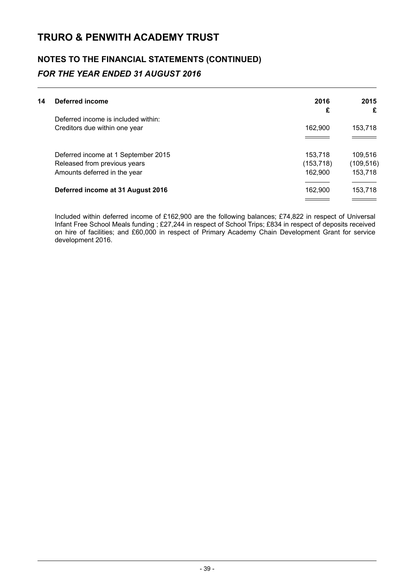## **NOTES TO THE FINANCIAL STATEMENTS (CONTINUED)** *FOR THE YEAR ENDED 31 AUGUST 2016*

| 14 | Deferred income                     | 2016       | 2015       |
|----|-------------------------------------|------------|------------|
|    |                                     | £          | £          |
|    | Deferred income is included within: |            |            |
|    | Creditors due within one year       | 162.900    | 153,718    |
|    |                                     |            |            |
|    | Deferred income at 1 September 2015 | 153.718    | 109,516    |
|    | Released from previous years        | (153, 718) | (109, 516) |
|    | Amounts deferred in the year        | 162,900    | 153,718    |
|    | Deferred income at 31 August 2016   | 162.900    | 153,718    |
|    |                                     |            |            |

Included within deferred income of £162,900 are the following balances; £74,822 in respect of Universal Infant Free School Meals funding ; £27,244 in respect of School Trips; £834 in respect of deposits received on hire of facilities; and £60,000 in respect of Primary Academy Chain Development Grant for service development 2016.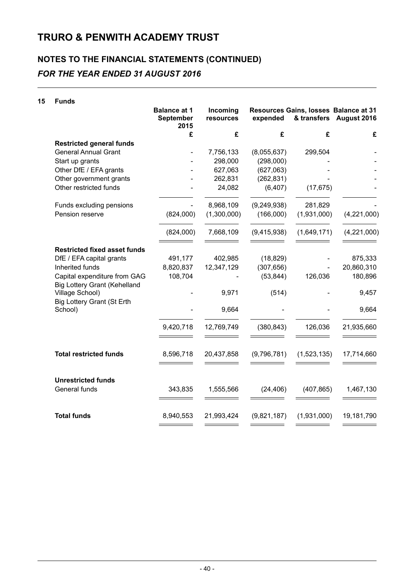### **NOTES TO THE FINANCIAL STATEMENTS (CONTINUED)** *FOR THE YEAR ENDED 31 AUGUST 2016*

### **15 Funds Balance at 1 September 2015 Incoming resources Resources Gains, losses Balance at 31 expended & transfers August 2016 £ £ £ £ £ Restricted general funds** General Annual Grant - 7,756,133 (8,055,637) 299,504 - Start up grants  $\begin{array}{ccc} - & 298,000 & (298,000) \end{array}$ Other DfE / EFA grants - - 627,063 (627,063) - -Other government grants - 262,831 (262,831) - - Other restricted funds - 24,082 (6,407) (17,675) - Funds excluding pensions  $\overline{a}$  and  $\overline{a}$  and  $\overline{a}$  and  $\overline{a}$  and  $\overline{a}$  and  $\overline{a}$  and  $\overline{a}$  and  $\overline{a}$  and  $\overline{a}$  and  $\overline{a}$  and  $\overline{a}$  and  $\overline{a}$  and  $\overline{a}$  and  $\overline{a}$  and  $\overline{a}$  and  $\$ Pension reserve (824,000) (1,300,000) (166,000) (1,931,000) (4,221,000) (824,000) 7,668,109 (9,415,938) (1,649,171) (4,221,000) **Restricted fixed asset funds** DfE / EFA capital grants 491,177 402,985 (18,829) - 875,333 Inherited funds 8,820,837 12,347,129 (307,656) - 20,860,310 Capital expenditure from GAG 108,704 - (53,844) 126,036 180,896 Big Lottery Grant (Kehelland Village School) - 9,971 (514) - 9,457 Big Lottery Grant (St Erth School) - 9,664 - - 9,664 9,420,718 12,769,749 (380,843) 126,036 21,935,660 **Total restricted funds** 8,596,718 20,437,858 (9,796,781) (1,523,135) 17,714,660 **Unrestricted funds** General funds 343,835 1,555,566 (24,406) (407,865) 1,467,130

**Total funds** 8,940,553 21,993,424 (9,821,187) (1,931,000) 19,181,790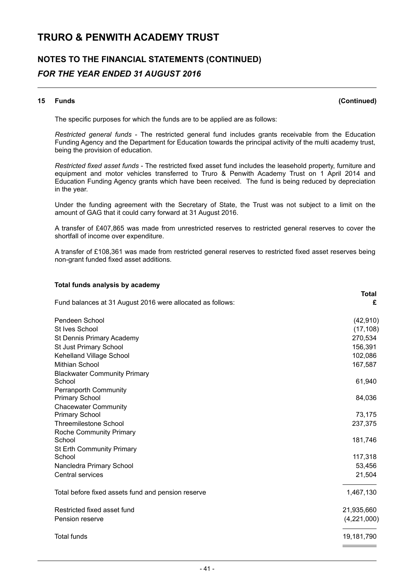## **NOTES TO THE FINANCIAL STATEMENTS (CONTINUED)** *FOR THE YEAR ENDED 31 AUGUST 2016*

#### **15 Funds (Continued)**

**Total**

The specific purposes for which the funds are to be applied are as follows:

*Restricted general funds* - The restricted general fund includes grants receivable from the Education Funding Agency and the Department for Education towards the principal activity of the multi academy trust, being the provision of education.

*Restricted fixed asset funds* - The restricted fixed asset fund includes the leasehold property, furniture and equipment and motor vehicles transferred to Truro & Penwith Academy Trust on 1 April 2014 and Education Funding Agency grants which have been received. The fund is being reduced by depreciation in the year.

Under the funding agreement with the Secretary of State, the Trust was not subject to a limit on the amount of GAG that it could carry forward at 31 August 2016.

A transfer of £407,865 was made from unrestricted reserves to restricted general reserves to cover the shortfall of income over expenditure.

A transfer of £108,361 was made from restricted general reserves to restricted fixed asset reserves being non-grant funded fixed asset additions.

#### **Total funds analysis by academy**

| Fund balances at 31 August 2016 were allocated as follows: | ινιαι<br>£  |
|------------------------------------------------------------|-------------|
| Pendeen School                                             | (42, 910)   |
| St Ives School                                             | (17, 108)   |
| St Dennis Primary Academy                                  | 270,534     |
| <b>St Just Primary School</b>                              | 156,391     |
| Kehelland Village School                                   | 102,086     |
| <b>Mithian School</b>                                      | 167,587     |
| <b>Blackwater Community Primary</b>                        |             |
| School                                                     | 61,940      |
| <b>Perranporth Community</b>                               |             |
| <b>Primary School</b>                                      | 84,036      |
| <b>Chacewater Community</b>                                |             |
| <b>Primary School</b>                                      | 73,175      |
| <b>Threemilestone School</b>                               | 237,375     |
| <b>Roche Community Primary</b>                             |             |
| School                                                     | 181,746     |
| <b>St Erth Community Primary</b>                           |             |
| School                                                     | 117,318     |
| Nancledra Primary School                                   | 53,456      |
| <b>Central services</b>                                    | 21,504      |
| Total before fixed assets fund and pension reserve         | 1,467,130   |
| Restricted fixed asset fund                                | 21,935,660  |
| Pension reserve                                            | (4,221,000) |
| <b>Total funds</b>                                         | 19,181,790  |
|                                                            |             |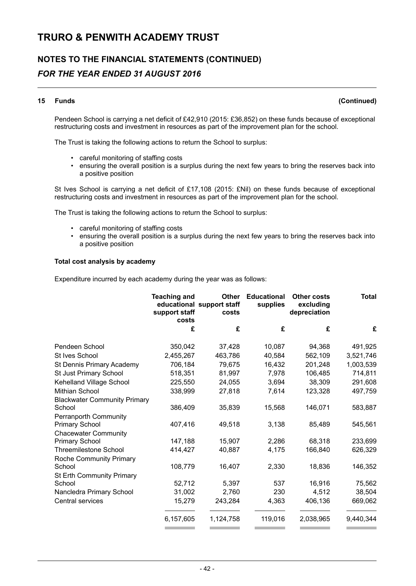## **NOTES TO THE FINANCIAL STATEMENTS (CONTINUED)** *FOR THE YEAR ENDED 31 AUGUST 2016*

#### **15 Funds (Continued)**

Pendeen School is carrying a net deficit of £42,910 (2015: £36,852) on these funds because of exceptional restructuring costs and investment in resources as part of the improvement plan for the school.

The Trust is taking the following actions to return the School to surplus:

- careful monitoring of staffing costs
- ensuring the overall position is a surplus during the next few years to bring the reserves back into a positive position

St Ives School is carrying a net deficit of £17,108 (2015: £Nil) on these funds because of exceptional restructuring costs and investment in resources as part of the improvement plan for the school.

The Trust is taking the following actions to return the School to surplus:

- careful monitoring of staffing costs
- ensuring the overall position is a surplus during the next few years to bring the reserves back into a positive position

#### **Total cost analysis by academy**

Expenditure incurred by each academy during the year was as follows:

|                                                       | <b>Teaching and</b><br>support staff<br>costs | <b>Other</b><br>educational support staff<br>costs | <b>Educational</b><br>supplies | <b>Other costs</b><br>excluding<br>depreciation | <b>Total</b> |
|-------------------------------------------------------|-----------------------------------------------|----------------------------------------------------|--------------------------------|-------------------------------------------------|--------------|
|                                                       | £                                             | £                                                  | £                              | £                                               | £            |
| Pendeen School                                        | 350,042                                       | 37,428                                             | 10,087                         | 94,368                                          | 491,925      |
| St Ives School                                        | 2,455,267                                     | 463,786                                            | 40,584                         | 562,109                                         | 3,521,746    |
| St Dennis Primary Academy                             | 706,184                                       | 79,675                                             | 16,432                         | 201,248                                         | 1,003,539    |
| St Just Primary School                                | 518,351                                       | 81,997                                             | 7,978                          | 106,485                                         | 714,811      |
| Kehelland Village School                              | 225,550                                       | 24,055                                             | 3,694                          | 38,309                                          | 291,608      |
| <b>Mithian School</b>                                 | 338,999                                       | 27,818                                             | 7,614                          | 123,328                                         | 497,759      |
| <b>Blackwater Community Primary</b>                   |                                               |                                                    |                                |                                                 |              |
| School                                                | 386,409                                       | 35,839                                             | 15,568                         | 146,071                                         | 583,887      |
| <b>Perranporth Community</b><br><b>Primary School</b> | 407,416                                       | 49,518                                             | 3,138                          | 85,489                                          | 545,561      |
| <b>Chacewater Community</b>                           |                                               |                                                    |                                |                                                 |              |
| <b>Primary School</b>                                 | 147,188                                       | 15,907                                             | 2,286                          | 68,318                                          | 233,699      |
| <b>Threemilestone School</b>                          | 414,427                                       | 40,887                                             | 4,175                          | 166,840                                         | 626,329      |
| <b>Roche Community Primary</b>                        |                                               |                                                    |                                |                                                 |              |
| School                                                | 108,779                                       | 16,407                                             | 2,330                          | 18,836                                          | 146,352      |
| St Erth Community Primary                             |                                               |                                                    |                                |                                                 |              |
| School                                                | 52,712                                        | 5,397                                              | 537                            | 16,916                                          | 75,562       |
| Nancledra Primary School                              | 31,002                                        | 2,760                                              | 230                            | 4,512                                           | 38,504       |
| Central services                                      | 15,279                                        | 243,284                                            | 4,363                          | 406,136                                         | 669,062      |
|                                                       | 6,157,605                                     | 1,124,758                                          | 119,016                        | 2,038,965                                       | 9,440,344    |
|                                                       |                                               |                                                    |                                |                                                 |              |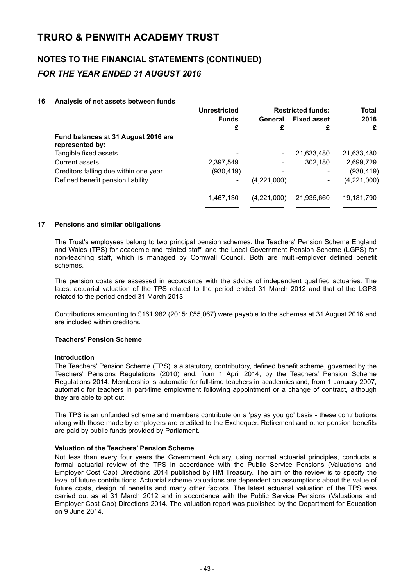## **NOTES TO THE FINANCIAL STATEMENTS (CONTINUED)** *FOR THE YEAR ENDED 31 AUGUST 2016*

#### **16 Analysis of net assets between funds**

|                                                        | <b>Unrestricted</b> |             | <b>Restricted funds:</b> | <b>Total</b>  |
|--------------------------------------------------------|---------------------|-------------|--------------------------|---------------|
|                                                        | <b>Funds</b>        | General     | <b>Fixed asset</b>       | 2016          |
|                                                        | £                   | £           |                          | £             |
| Fund balances at 31 August 2016 are<br>represented by: |                     |             |                          |               |
| Tangible fixed assets                                  |                     |             | 21,633,480               | 21,633,480    |
| Current assets                                         | 2,397,549           |             | 302,180                  | 2,699,729     |
| Creditors falling due within one year                  | (930, 419)          |             |                          | (930, 419)    |
| Defined benefit pension liability                      |                     | (4,221,000) | ۰                        | (4, 221, 000) |
|                                                        |                     |             |                          |               |
|                                                        | 1,467,130           | (4,221,000) | 21,935,660               | 19,181,790    |
|                                                        |                     |             |                          |               |

#### **17 Pensions and similar obligations**

The Trust's employees belong to two principal pension schemes: the Teachers' Pension Scheme England and Wales (TPS) for academic and related staff; and the Local Government Pension Scheme (LGPS) for non-teaching staff, which is managed by Cornwall Council. Both are multi-employer defined benefit schemes.

The pension costs are assessed in accordance with the advice of independent qualified actuaries. The latest actuarial valuation of the TPS related to the period ended 31 March 2012 and that of the LGPS related to the period ended 31 March 2013.

Contributions amounting to £161,982 (2015: £55,067) were payable to the schemes at 31 August 2016 and are included within creditors.

#### **Teachers' Pension Scheme**

#### **Introduction**

The Teachers' Pension Scheme (TPS) is a statutory, contributory, defined benefit scheme, governed by the Teachers' Pensions Regulations (2010) and, from 1 April 2014, by the Teachers' Pension Scheme Regulations 2014. Membership is automatic for full-time teachers in academies and, from 1 January 2007, automatic for teachers in part-time employment following appointment or a change of contract, although they are able to opt out.

The TPS is an unfunded scheme and members contribute on a 'pay as you go' basis - these contributions along with those made by employers are credited to the Exchequer. Retirement and other pension benefits are paid by public funds provided by Parliament.

#### **Valuation of the Teachers' Pension Scheme**

Not less than every four years the Government Actuary, using normal actuarial principles, conducts a formal actuarial review of the TPS in accordance with the Public Service Pensions (Valuations and Employer Cost Cap) Directions 2014 published by HM Treasury. The aim of the review is to specify the level of future contributions. Actuarial scheme valuations are dependent on assumptions about the value of future costs, design of benefits and many other factors. The latest actuarial valuation of the TPS was carried out as at 31 March 2012 and in accordance with the Public Service Pensions (Valuations and Employer Cost Cap) Directions 2014. The valuation report was published by the Department for Education on 9 June 2014.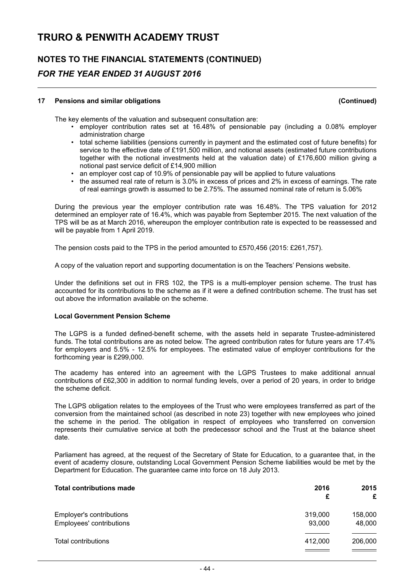## **NOTES TO THE FINANCIAL STATEMENTS (CONTINUED)** *FOR THE YEAR ENDED 31 AUGUST 2016*

#### **17 Pensions and similar obligations (Continued)**

The key elements of the valuation and subsequent consultation are:

- employer contribution rates set at 16.48% of pensionable pay (including a 0.08% employer administration charge
- total scheme liabilities (pensions currently in payment and the estimated cost of future benefits) for service to the effective date of £191,500 million, and notional assets (estimated future contributions together with the notional investments held at the valuation date) of £176,600 million giving a notional past service deficit of £14,900 million
- an employer cost cap of 10.9% of pensionable pay will be applied to future valuations
- the assumed real rate of return is 3.0% in excess of prices and 2% in excess of earnings. The rate of real earnings growth is assumed to be 2.75%. The assumed nominal rate of return is 5.06%

During the previous year the employer contribution rate was 16.48%. The TPS valuation for 2012 determined an employer rate of 16.4%, which was payable from September 2015. The next valuation of the TPS will be as at March 2016, whereupon the employer contribution rate is expected to be reassessed and will be payable from 1 April 2019.

The pension costs paid to the TPS in the period amounted to £570,456 (2015: £261,757).

A copy of the valuation report and supporting documentation is on the Teachers' Pensions website.

Under the definitions set out in FRS 102, the TPS is a multi-employer pension scheme. The trust has accounted for its contributions to the scheme as if it were a defined contribution scheme. The trust has set out above the information available on the scheme.

#### **Local Government Pension Scheme**

The LGPS is a funded defined-benefit scheme, with the assets held in separate Trustee-administered funds. The total contributions are as noted below. The agreed contribution rates for future years are 17.4% for employers and 5.5% - 12.5% for employees. The estimated value of employer contributions for the forthcoming year is £299,000.

The academy has entered into an agreement with the LGPS Trustees to make additional annual contributions of £62,300 in addition to normal funding levels, over a period of 20 years, in order to bridge the scheme deficit.

The LGPS obligation relates to the employees of the Trust who were employees transferred as part of the conversion from the maintained school (as described in note 23) together with new employees who joined the scheme in the period. The obligation in respect of employees who transferred on conversion represents their cumulative service at both the predecessor school and the Trust at the balance sheet date.

Parliament has agreed, at the request of the Secretary of State for Education, to a guarantee that, in the event of academy closure, outstanding Local Government Pension Scheme liabilities would be met by the Department for Education. The guarantee came into force on 18 July 2013.

| <b>Total contributions made</b> | 2016    | 2015    |
|---------------------------------|---------|---------|
|                                 | £       | £       |
| Employer's contributions        | 319,000 | 158,000 |
| Employees' contributions        | 93,000  | 48,000  |
| Total contributions             | 412,000 | 206,000 |
|                                 |         |         |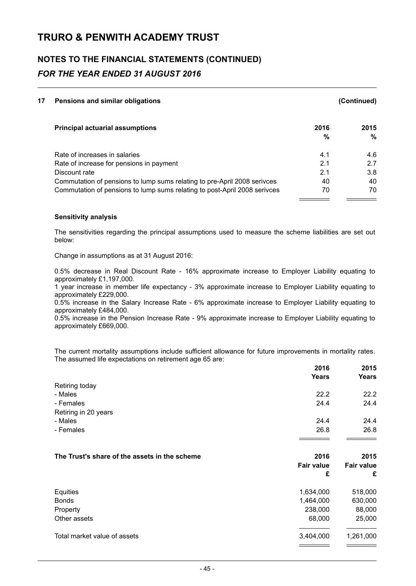## **NOTES TO THE FINANCIAL STATEMENTS (CONTINUED)** *FOR THE YEAR ENDED 31 AUGUST 2016*

| 17 | Pensions and similar obligations                                          |      | (Continued) |
|----|---------------------------------------------------------------------------|------|-------------|
|    | <b>Principal actuarial assumptions</b>                                    | 2016 | 2015        |
|    |                                                                           | %    | $\%$        |
|    | Rate of increases in salaries                                             | 4.1  | 4.6         |
|    | Rate of increase for pensions in payment                                  | 2.1  | 2.7         |
|    | Discount rate                                                             | 2.1  | 3.8         |
|    | Commutation of pensions to lump sums relating to pre-April 2008 serivces  | 40   | 40          |
|    | Commutation of pensions to lump sums relating to post-April 2008 serivces | 70   | 70          |

#### **Sensitivity analysis**

The sensitivities regarding the principal assumptions used to measure the scheme liabilities are set out below:

Change in assumptions as at 31 August 2016:

0.5% decrease in Real Discount Rate - 16% approximate increase to Employer Liability equating to approximately £1,197,000.

1 year increase in member life expectancy - 3% approximate increase to Employer Liability equating to approximately £229,000.

0.5% increase in the Salary Increase Rate - 6% approximate increase to Employer Liability equating to approximately £484,000.

0.5% increase in the Pension Increase Rate - 9% approximate increase to Employer Liability equating to approximately £669,000.

The current mortality assumptions include sufficient allowance for future improvements in mortality rates. The assumed life expectations on retirement age 65 are:

|                                               | 2016<br><b>Years</b> | 2015<br>Years     |
|-----------------------------------------------|----------------------|-------------------|
| Retiring today                                |                      |                   |
| - Males                                       | 22.2                 | 22.2              |
| - Females                                     | 24.4                 | 24.4              |
| Retiring in 20 years                          |                      |                   |
| - Males                                       | 24.4                 | 24.4              |
| - Females                                     | 26.8                 | 26.8              |
|                                               |                      |                   |
| The Trust's share of the assets in the scheme | 2016                 | 2015              |
|                                               | <b>Fair value</b>    | <b>Fair value</b> |
|                                               | £                    | £                 |
| Equities                                      | 1,634,000            | 518,000           |
| <b>Bonds</b>                                  | 1,464,000            | 630,000           |
| Property                                      | 238,000              | 88,000            |
| Other assets                                  | 68,000               | 25,000            |
| Total market value of assets                  | 3,404,000            | 1,261,000         |
|                                               |                      |                   |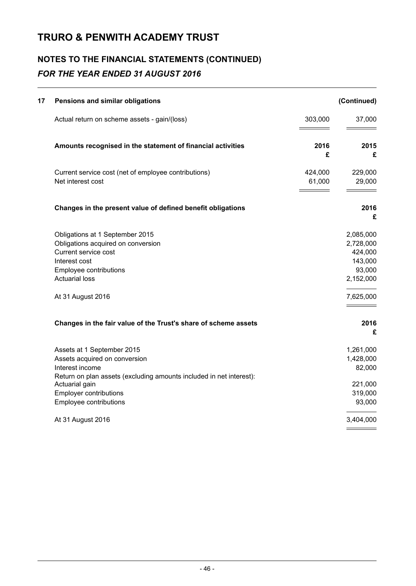## **NOTES TO THE FINANCIAL STATEMENTS (CONTINUED)** *FOR THE YEAR ENDED 31 AUGUST 2016*

| 17 | Pensions and similar obligations                                                                                                                                                                                                   |                   | (Continued)                                                                      |
|----|------------------------------------------------------------------------------------------------------------------------------------------------------------------------------------------------------------------------------------|-------------------|----------------------------------------------------------------------------------|
|    | Actual return on scheme assets - gain/(loss)                                                                                                                                                                                       | 303,000           | 37,000                                                                           |
|    | Amounts recognised in the statement of financial activities                                                                                                                                                                        | 2016<br>£         | 2015<br>£                                                                        |
|    | Current service cost (net of employee contributions)<br>Net interest cost                                                                                                                                                          | 424,000<br>61,000 | 229,000<br>29,000                                                                |
|    | Changes in the present value of defined benefit obligations                                                                                                                                                                        |                   | 2016<br>£                                                                        |
|    | Obligations at 1 September 2015<br>Obligations acquired on conversion<br>Current service cost<br>Interest cost<br>Employee contributions<br><b>Actuarial loss</b><br>At 31 August 2016                                             |                   | 2,085,000<br>2,728,000<br>424,000<br>143,000<br>93,000<br>2,152,000<br>7,625,000 |
|    | Changes in the fair value of the Trust's share of scheme assets                                                                                                                                                                    |                   | 2016<br>£                                                                        |
|    | Assets at 1 September 2015<br>Assets acquired on conversion<br>Interest income<br>Return on plan assets (excluding amounts included in net interest):<br>Actuarial gain<br><b>Employer contributions</b><br>Employee contributions |                   | 1,261,000<br>1,428,000<br>82,000<br>221,000<br>319,000<br>93,000                 |
|    | At 31 August 2016                                                                                                                                                                                                                  |                   | 3,404,000                                                                        |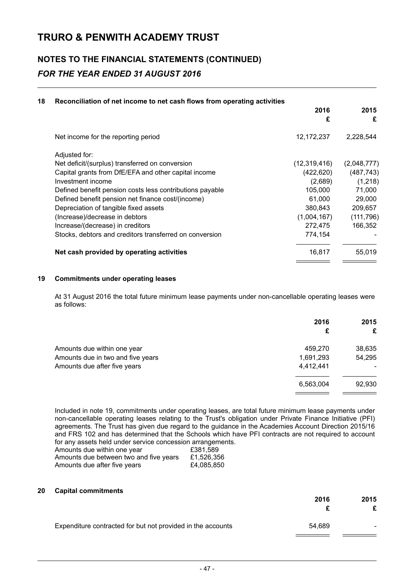## **NOTES TO THE FINANCIAL STATEMENTS (CONTINUED)** *FOR THE YEAR ENDED 31 AUGUST 2016*

#### **18 Reconciliation of net income to net cash flows from operating activities**

|                                                          | 2016<br>£      | 2015<br>£   |
|----------------------------------------------------------|----------------|-------------|
| Net income for the reporting period                      | 12,172,237     | 2,228,544   |
| Adjusted for:                                            |                |             |
| Net deficit/(surplus) transferred on conversion          | (12, 319, 416) | (2,048,777) |
| Capital grants from DfE/EFA and other capital income     | (422, 620)     | (487, 743)  |
| Investment income                                        | (2,689)        | (1, 218)    |
| Defined benefit pension costs less contributions payable | 105,000        | 71,000      |
| Defined benefit pension net finance cost/(income)        | 61,000         | 29,000      |
| Depreciation of tangible fixed assets                    | 380.843        | 209,657     |
| (Increase)/decrease in debtors                           | (1,004,167)    | (111, 796)  |
| Increase/(decrease) in creditors                         | 272,475        | 166,352     |
| Stocks, debtors and creditors transferred on conversion  | 774,154        |             |
| Net cash provided by operating activities                | 16.817         | 55.019      |

#### **19 Commitments under operating leases**

At 31 August 2016 the total future minimum lease payments under non-cancellable operating leases were as follows:

|                                   | 2016<br>£ | 2015<br>£ |
|-----------------------------------|-----------|-----------|
| Amounts due within one year       | 459,270   | 38,635    |
| Amounts due in two and five years | 1,691,293 | 54,295    |
| Amounts due after five years      | 4,412,441 |           |
|                                   | 6,563,004 | 92,930    |
|                                   |           |           |

Included in note 19, commitments under operating leases, are total future minimum lease payments under non-cancellable operating leases relating to the Trust's obligation under Private Finance Initiative (PFI) agreements. The Trust has given due regard to the guidance in the Academies Account Direction 2015/16 and FRS 102 and has determined that the Schools which have PFI contracts are not required to account for any assets held under service concession arrangements.

| Amounts due within one year            | £381.589   |
|----------------------------------------|------------|
| Amounts due between two and five years | £1,526,356 |
| Amounts due after five years           | £4,085,850 |

#### **20 Capital commitments**

|                                                             | 2016   | 2015 |
|-------------------------------------------------------------|--------|------|
| Expenditure contracted for but not provided in the accounts | 54.689 | -    |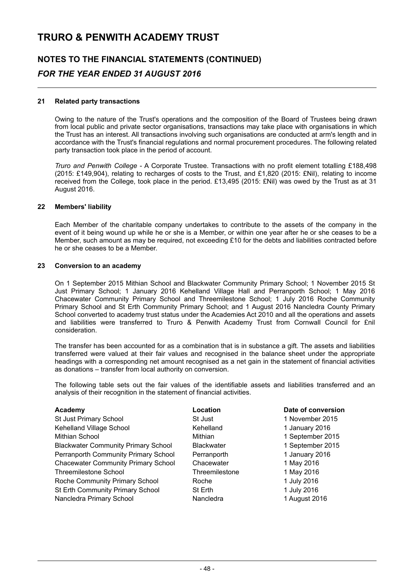## **NOTES TO THE FINANCIAL STATEMENTS (CONTINUED)** *FOR THE YEAR ENDED 31 AUGUST 2016*

#### **21 Related party transactions**

Owing to the nature of the Trust's operations and the composition of the Board of Trustees being drawn from local public and private sector organisations, transactions may take place with organisations in which the Trust has an interest. All transactions involving such organisations are conducted at arm's length and in accordance with the Trust's financial regulations and normal procurement procedures. The following related party transaction took place in the period of account.

*Truro and Penwith College* - A Corporate Trustee. Transactions with no profit element totalling £188,498 (2015: £149,904), relating to recharges of costs to the Trust, and £1,820 (2015: £Nil), relating to income received from the College, took place in the period. £13,495 (2015: £Nil) was owed by the Trust as at 31 August 2016.

#### **22 Members' liability**

Each Member of the charitable company undertakes to contribute to the assets of the company in the event of it being wound up while he or she is a Member, or within one year after he or she ceases to be a Member, such amount as may be required, not exceeding £10 for the debts and liabilities contracted before he or she ceases to be a Member.

#### **23 Conversion to an academy**

On 1 September 2015 Mithian School and Blackwater Community Primary School; 1 November 2015 St Just Primary School; 1 January 2016 Kehelland Village Hall and Perranporth School; 1 May 2016 Chacewater Community Primary School and Threemilestone School; 1 July 2016 Roche Community Primary School and St Erth Community Primary School; and 1 August 2016 Nancledra County Primary School converted to academy trust status under the Academies Act 2010 and all the operations and assets and liabilities were transferred to Truro & Penwith Academy Trust from Cornwall Council for £nil consideration.

The transfer has been accounted for as a combination that is in substance a gift. The assets and liabilities transferred were valued at their fair values and recognised in the balance sheet under the appropriate headings with a corresponding net amount recognised as a net gain in the statement of financial activities as donations – transfer from local authority on conversion.

The following table sets out the fair values of the identifiable assets and liabilities transferred and an analysis of their recognition in the statement of financial activities.

| Academy                                    | Location          | Date of conversion |
|--------------------------------------------|-------------------|--------------------|
| <b>St Just Primary School</b>              | <b>St Just</b>    | 1 November 2015    |
| Kehelland Village School                   | Kehelland         | 1 January 2016     |
| Mithian School                             | Mithian           | 1 September 2015   |
| <b>Blackwater Community Primary School</b> | <b>Blackwater</b> | 1 September 2015   |
| Perranporth Community Primary School       | Perranporth       | 1 January 2016     |
| <b>Chacewater Community Primary School</b> | Chacewater        | 1 May 2016         |
| Threemilestone School                      | Threemilestone    | 1 May 2016         |
| Roche Community Primary School             | Roche             | 1 July 2016        |
| St Erth Community Primary School           | St Erth           | 1 July 2016        |
| Nancledra Primary School                   | Nancledra         | 1 August 2016      |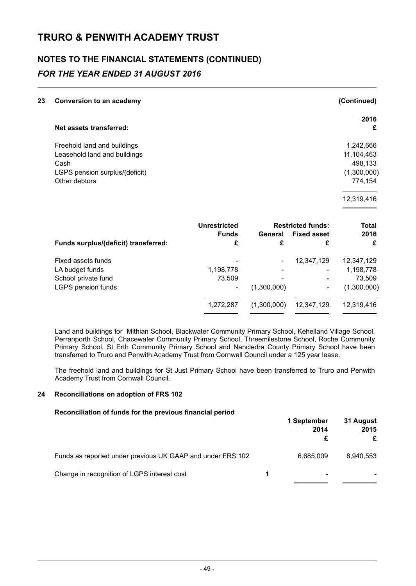## **NOTES TO THE FINANCIAL STATEMENTS (CONTINUED)** *FOR THE YEAR ENDED 31 AUGUST 2016*

| 23 | <b>Conversion to an academy</b> | (Continued) |
|----|---------------------------------|-------------|
|    | Net assets transferred:         | 2016<br>£   |
|    | Freehold land and buildings     | 1,242,666   |
|    | Leasehold land and buildings    | 11,104,463  |
|    | Cash                            | 498,133     |
|    | LGPS pension surplus/(deficit)  | (1,300,000) |
|    | Other debtors                   | 774,154     |
|    |                                 | 12,319,416  |

|                                      | <b>Unrestricted</b> | <b>Restricted funds:</b> |                    | <b>Total</b> |
|--------------------------------------|---------------------|--------------------------|--------------------|--------------|
|                                      | <b>Funds</b>        | General                  | <b>Fixed asset</b> | 2016<br>£    |
| Funds surplus/(deficit) transferred: | £                   | £                        | £                  |              |
| Fixed assets funds                   | ۰                   |                          | 12,347,129         | 12,347,129   |
| LA budget funds                      | 1,198,778           |                          |                    | 1,198,778    |
| School private fund                  | 73.509              | $\overline{\phantom{0}}$ | -                  | 73.509       |
| LGPS pension funds                   | ۰                   | (1,300,000)              | ۰                  | (1,300,000)  |
|                                      | 1,272,287           | (1,300,000)              | 12,347,129         | 12,319,416   |
|                                      |                     |                          |                    |              |

Land and buildings for Mithian School, Blackwater Community Primary School, Kehelland Village School, Perranporth School, Chacewater Community Primary School, Threemilestone School, Roche Community Primary School, St Erth Community Primary School and Nancledra County Primary School have been transferred to Truro and Penwith Academy Trust from Cornwall Council under a 125 year lease.

The freehold land and buildings for St Just Primary School have been transferred to Truro and Penwith Academy Trust from Cornwall Council.

#### **24 Reconciliations on adoption of FRS 102**

#### **Reconciliation of funds for the previous financial period**

|                                                            | 1 September<br>2014 | 31 August<br>2015<br>£ |
|------------------------------------------------------------|---------------------|------------------------|
| Funds as reported under previous UK GAAP and under FRS 102 | 6,685,009           | 8,940,553              |
| Change in recognition of LGPS interest cost                |                     |                        |